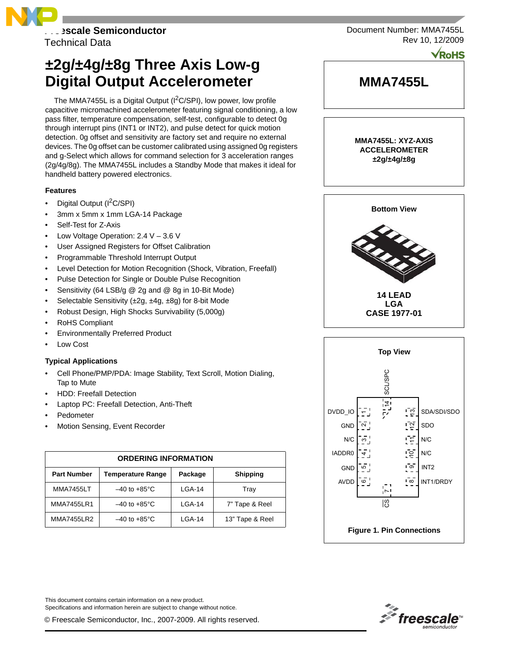

Technical Data

# **±2g/±4g/±8g Three Axis Low-g Digital Output Accelerometer**

The MMA7455L is a Digital Output ( $1^2C/SP1$ ), low power, low profile capacitive micromachined accelerometer featuring signal conditioning, a low pass filter, temperature compensation, self-test, configurable to detect 0g through interrupt pins (INT1 or INT2), and pulse detect for quick motion detection. 0g offset and sensitivity are factory set and require no external devices. The 0g offset can be customer calibrated using assigned 0g registers and g-Select which allows for command selection for 3 acceleration ranges (2g/4g/8g). The MMA7455L includes a Standby Mode that makes it ideal for handheld battery powered electronics.

## **Features**

- Digital Output (I<sup>2</sup>C/SPI)
- 3mm x 5mm x 1mm LGA-14 Package
- Self-Test for Z-Axis
- Low Voltage Operation: 2.4 V 3.6 V
- User Assigned Registers for Offset Calibration
- Programmable Threshold Interrupt Output
- Level Detection for Motion Recognition (Shock, Vibration, Freefall)
- Pulse Detection for Single or Double Pulse Recognition
- Sensitivity (64 LSB/g @ 2g and @ 8g in 10-Bit Mode)
- Selectable Sensitivity (±2g, ±4g, ±8g) for 8-bit Mode
- Robust Design, High Shocks Survivability (5,000g)
- RoHS Compliant
- Environmentally Preferred Product
- Low Cost

## **Typical Applications**

- Cell Phone/PMP/PDA: Image Stability, Text Scroll, Motion Dialing, Tap to Mute
- HDD: Freefall Detection
- Laptop PC: Freefall Detection, Anti-Theft
- **Pedometer**
- Motion Sensing, Event Recorder

| <b>ORDERING INFORMATION</b> |                          |         |                 |  |  |  |  |  |  |
|-----------------------------|--------------------------|---------|-----------------|--|--|--|--|--|--|
| <b>Part Number</b>          | Temperature Range        | Package | <b>Shipping</b> |  |  |  |  |  |  |
| <b>MMA7455LT</b>            | $-40$ to $+85^{\circ}$ C | LGA-14  | Tray            |  |  |  |  |  |  |
| <b>MMA7455LR1</b>           | $-40$ to $+85^{\circ}$ C | LGA-14  | 7" Tape & Reel  |  |  |  |  |  |  |
| <b>MMA7455LR2</b>           | $-40$ to $+85^{\circ}$ C | LGA-14  | 13" Tape & Reel |  |  |  |  |  |  |

This document contains certain information on a new product. Specifications and information herein are subject to change without notice.

© Freescale Semiconductor, Inc., 2007-2009. All rights reserved.

Document Number: MMA7455L Rev 10, 12/2009

**VRoHS** 



**ACCELEROMETER ±2g/±4g/±8g**





<span id="page-0-0"></span>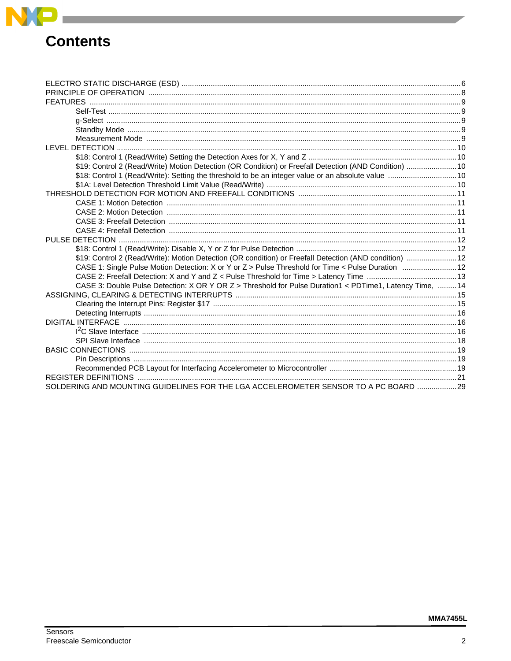

# **Contents**

| \$19: Control 2 (Read/Write) Motion Detection (OR Condition) or Freefall Detection (AND Condition)  10   |  |
|----------------------------------------------------------------------------------------------------------|--|
| \$18: Control 1 (Read/Write): Setting the threshold to be an integer value or an absolute value  10      |  |
|                                                                                                          |  |
|                                                                                                          |  |
|                                                                                                          |  |
|                                                                                                          |  |
|                                                                                                          |  |
|                                                                                                          |  |
|                                                                                                          |  |
|                                                                                                          |  |
| \$19: Control 2 (Read/Write): Motion Detection (OR condition) or Freefall Detection (AND condition)  12  |  |
| CASE 1: Single Pulse Motion Detection: X or Y or Z > Pulse Threshold for Time < Pulse Duration  12       |  |
|                                                                                                          |  |
| CASE 3: Double Pulse Detection: X OR Y OR Z > Threshold for Pulse Duration1 < PDTime1, Latency Time,  14 |  |
|                                                                                                          |  |
|                                                                                                          |  |
|                                                                                                          |  |
|                                                                                                          |  |
|                                                                                                          |  |
|                                                                                                          |  |
|                                                                                                          |  |
|                                                                                                          |  |
|                                                                                                          |  |
|                                                                                                          |  |
| SOLDERING AND MOUNTING GUIDELINES FOR THE LGA ACCELEROMETER SENSOR TO A PC BOARD  29                     |  |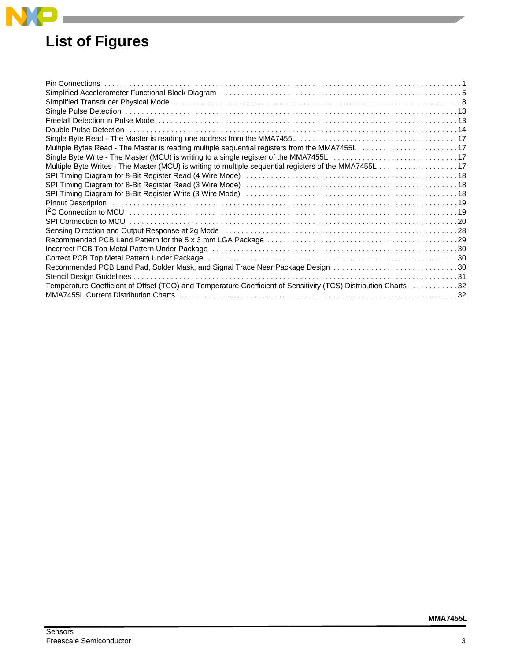# **[List of Figures](#page-0-0)**

**Contract Contract** 

**NP** 

| Double Pulse Detection (a) and a series are contained as the control of the control of the control of the control of the control of the control of the control of the control of the control of the control of the control of |  |
|-------------------------------------------------------------------------------------------------------------------------------------------------------------------------------------------------------------------------------|--|
|                                                                                                                                                                                                                               |  |
|                                                                                                                                                                                                                               |  |
|                                                                                                                                                                                                                               |  |
|                                                                                                                                                                                                                               |  |
|                                                                                                                                                                                                                               |  |
|                                                                                                                                                                                                                               |  |
|                                                                                                                                                                                                                               |  |
|                                                                                                                                                                                                                               |  |
|                                                                                                                                                                                                                               |  |
|                                                                                                                                                                                                                               |  |
|                                                                                                                                                                                                                               |  |
|                                                                                                                                                                                                                               |  |
|                                                                                                                                                                                                                               |  |
|                                                                                                                                                                                                                               |  |
| Recommended PCB Land Pad, Solder Mask, and Signal Trace Near Package Design 30                                                                                                                                                |  |
|                                                                                                                                                                                                                               |  |
| Temperature Coefficient of Offset (TCO) and Temperature Coefficient of Sensitivity (TCS) Distribution Charts 32                                                                                                               |  |
|                                                                                                                                                                                                                               |  |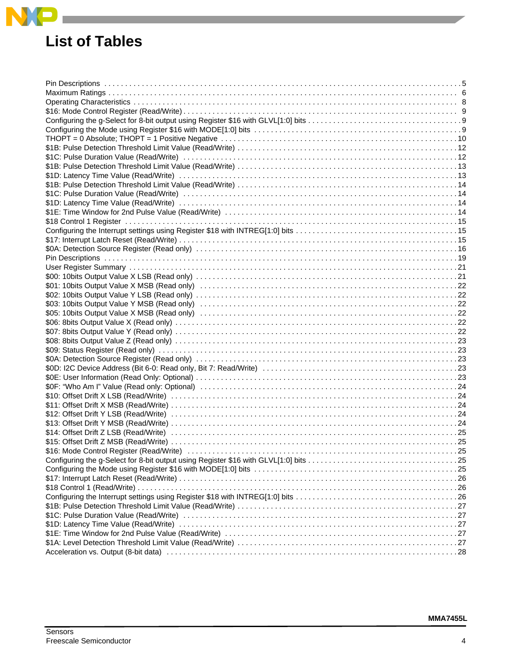# **List of Tables**

 $NP$ 

| \$16: Mode Control Register (Read/Write) (and according to the control of the control of the control register (Read/Write) (b) and control of the control of the control of the control of the control of the control of the co |  |
|---------------------------------------------------------------------------------------------------------------------------------------------------------------------------------------------------------------------------------|--|
|                                                                                                                                                                                                                                 |  |
|                                                                                                                                                                                                                                 |  |
|                                                                                                                                                                                                                                 |  |
|                                                                                                                                                                                                                                 |  |
|                                                                                                                                                                                                                                 |  |
|                                                                                                                                                                                                                                 |  |
|                                                                                                                                                                                                                                 |  |
|                                                                                                                                                                                                                                 |  |
|                                                                                                                                                                                                                                 |  |
|                                                                                                                                                                                                                                 |  |
|                                                                                                                                                                                                                                 |  |
|                                                                                                                                                                                                                                 |  |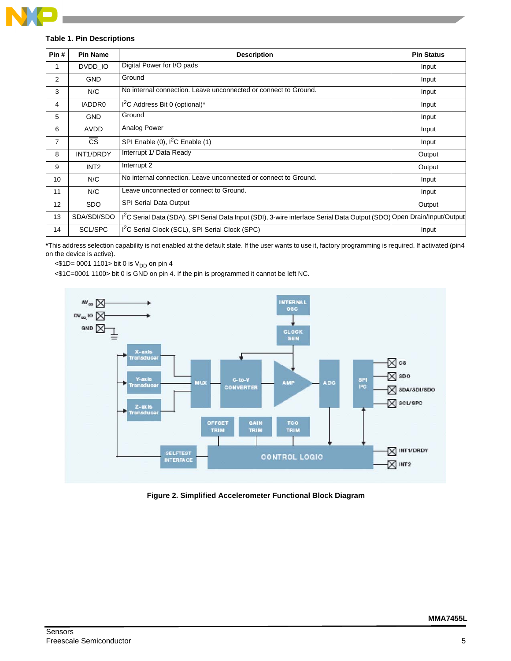## <span id="page-4-1"></span>**Table 1. Pin Descriptions**

| Pin#           | <b>Pin Name</b>  | <b>Description</b>                                                                                                                 | <b>Pin Status</b> |
|----------------|------------------|------------------------------------------------------------------------------------------------------------------------------------|-------------------|
| 1              | DVDD_IO          | Digital Power for I/O pads                                                                                                         | Input             |
| $\overline{2}$ | <b>GND</b>       | Ground                                                                                                                             | Input             |
| 3              | N/C              | No internal connection. Leave unconnected or connect to Ground.                                                                    | Input             |
| 4              | IADDR0           | $I2C$ Address Bit 0 (optional)*                                                                                                    | Input             |
| 5              | <b>GND</b>       | Ground                                                                                                                             | Input             |
| 6              | AVDD             | Analog Power                                                                                                                       | Input             |
| $\overline{7}$ | <b>CS</b>        | SPI Enable (0), I <sup>2</sup> C Enable (1)                                                                                        | Input             |
| 8              | INT1/DRDY        | Interrupt 1/ Data Ready                                                                                                            | Output            |
| 9              | INT <sub>2</sub> | Interrupt 2                                                                                                                        | Output            |
| 10             | N/C              | No internal connection. Leave unconnected or connect to Ground.                                                                    | Input             |
| 11             | N/C              | Leave unconnected or connect to Ground.                                                                                            | Input             |
| 12             | <b>SDO</b>       | <b>SPI Serial Data Output</b>                                                                                                      | Output            |
| 13             | SDA/SDI/SDO      | I <sup>2</sup> C Serial Data (SDA), SPI Serial Data Input (SDI), 3-wire interface Serial Data Output (SDO) Open Drain/Input/Output |                   |
| 14             | SCL/SPC          | I <sup>2</sup> C Serial Clock (SCL), SPI Serial Clock (SPC)                                                                        | Input             |

**\***This address selection capability is not enabled at the default state. If the user wants to use it, factory programming is required. If activated (pin4 on the device is active).

 $<$ \$1D= 0001 1101> bit 0 is  $V_{DD}$  on pin 4

<\$1C=0001 1100> bit 0 is GND on pin 4. If the pin is programmed it cannot be left NC.



<span id="page-4-0"></span>**Figure 2. Simplified Accelerometer Functional Block Diagram**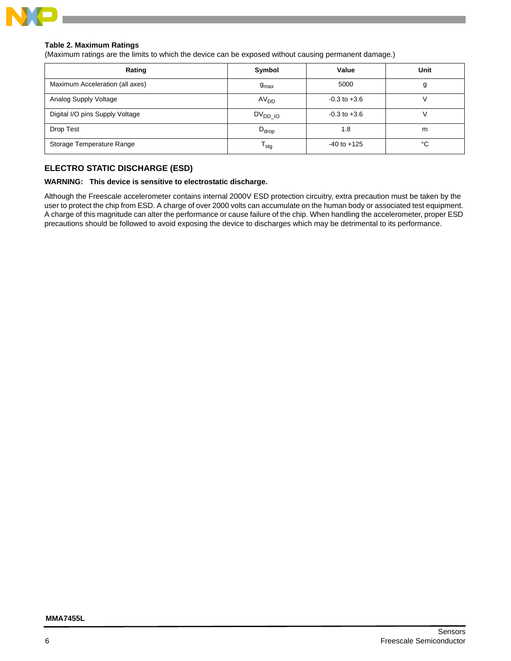

## <span id="page-5-1"></span>**Table 2. Maximum Ratings**

(Maximum ratings are the limits to which the device can be exposed without causing permanent damage.)

| Rating                          | Symbol           | Value            | Unit |
|---------------------------------|------------------|------------------|------|
| Maximum Acceleration (all axes) | $g_{\text{max}}$ | 5000             | g    |
| Analog Supply Voltage           | AV <sub>DD</sub> | $-0.3$ to $+3.6$ |      |
| Digital I/O pins Supply Voltage | $DV_{DD}$ 10     | $-0.3$ to $+3.6$ |      |
| Drop Test                       | $D_{drop}$       | 1.8              | m    |
| Storage Temperature Range       | <sup>I</sup> stg | $-40$ to $+125$  | °C   |

## <span id="page-5-0"></span>**ELECTRO STATIC DISCHARGE (ESD)**

## **WARNING: This device is sensitive to electrostatic discharge.**

Although the Freescale accelerometer contains internal 2000V ESD protection circuitry, extra precaution must be taken by the user to protect the chip from ESD. A charge of over 2000 volts can accumulate on the human body or associated test equipment. A charge of this magnitude can alter the performance or cause failure of the chip. When handling the accelerometer, proper ESD precautions should be followed to avoid exposing the device to discharges which may be detrimental to its performance.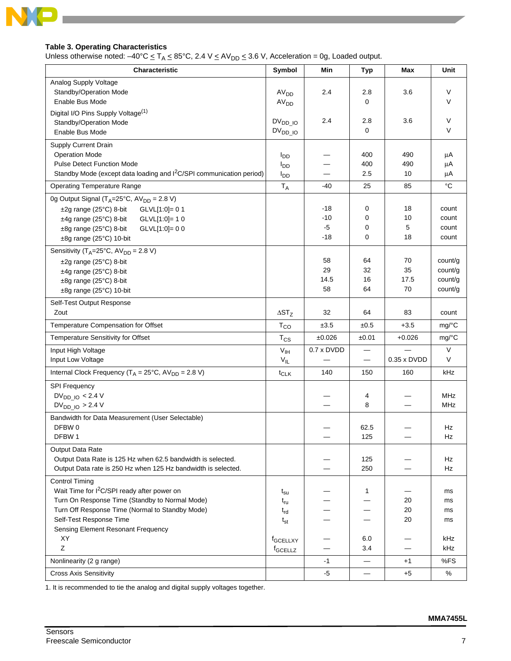

## <span id="page-6-0"></span>**Table 3. Operating Characteristics**

Unless otherwise noted:  $-40^{\circ}$ C  $\leq$  T<sub>A</sub>  $\leq$  85°C, 2.4 V  $\leq$  AV<sub>DD</sub>  $\leq$  3.6 V, Acceleration = 0g, Loaded output.

| Characteristic                                                                   | Symbol               | Min        | <b>Typ</b>               | Max                      | Unit                |
|----------------------------------------------------------------------------------|----------------------|------------|--------------------------|--------------------------|---------------------|
| Analog Supply Voltage                                                            |                      |            |                          |                          |                     |
| Standby/Operation Mode                                                           | AV <sub>DD</sub>     | 2.4        | 2.8                      | 3.6                      | V                   |
| Enable Bus Mode                                                                  | AV <sub>DD</sub>     |            | 0                        |                          | V                   |
| Digital I/O Pins Supply Voltage <sup>(1)</sup>                                   |                      |            |                          |                          |                     |
| Standby/Operation Mode                                                           | $DV_{DD_1O}$         | 2.4        | 2.8                      | 3.6                      | V                   |
| Enable Bus Mode                                                                  | $DV_{DD_IO}$         |            | 0                        |                          | $\vee$              |
| Supply Current Drain                                                             |                      |            |                          |                          |                     |
| <b>Operation Mode</b>                                                            | $I_{DD}$             |            | 400                      | 490                      | μA                  |
| <b>Pulse Detect Function Mode</b>                                                | $I_{DD}$             |            | 400                      | 490                      | μA                  |
| Standby Mode (except data loading and I <sup>2</sup> C/SPI communication period) | $I_{DD}$             | —          | 2.5                      | 10                       | μA                  |
| <b>Operating Temperature Range</b>                                               | $T_A$                | -40        | 25                       | 85                       | $^{\circ}C$         |
| 0g Output Signal (T <sub>A</sub> =25°C, AV <sub>DD</sub> = 2.8 V)                |                      |            |                          |                          |                     |
| $\pm 2$ g range (25°C) 8-bit GLVL[1:0]= 0 1                                      |                      | -18        | 0                        | 18                       | count               |
| $±4g$ range (25 $°C$ ) 8-bit<br>GLVL[1:0]= 1 0                                   |                      | $-10$      | 0                        | 10                       | count               |
| $±8g$ range (25 $°C$ ) 8-bit<br>$GLVL[1:0]=00$                                   |                      | $-5$       | 0                        | 5                        | count               |
| ±8g range (25°C) 10-bit                                                          |                      | $-18$      | 0                        | 18                       | count               |
| Sensitivity ( $T_A = 25^\circ \text{C}$ , AV <sub>DD</sub> = 2.8 V)              |                      |            |                          |                          |                     |
|                                                                                  |                      | 58         | 64                       | 70                       | count/g             |
| ±2g range (25°C) 8-bit<br>±4g range (25°C) 8-bit                                 |                      | 29         | 32                       | 35                       | count/g             |
| ±8g range (25°C) 8-bit                                                           |                      | 14.5       | 16                       | 17.5                     | count/g             |
| ±8g range (25°C) 10-bit                                                          |                      | 58         | 64                       | 70                       | count/g             |
|                                                                                  |                      |            |                          |                          |                     |
| Self-Test Output Response<br>Zout                                                | $\Delta ST_Z$        |            | 64                       |                          |                     |
|                                                                                  |                      | 32         |                          | 83                       | count               |
| Temperature Compensation for Offset                                              | $T_{CO}$             | ±3.5       | ±0.5                     | $+3.5$                   | $mg$ <sup>o</sup> C |
| <b>Temperature Sensitivity for Offset</b>                                        | $T_{CS}$             | ±0.026     | ±0.01                    | +0.026                   | $mg$ <sup>o</sup> C |
| Input High Voltage                                                               | $V_{\text{IH}}$      | 0.7 x DVDD |                          |                          | V                   |
| Input Low Voltage                                                                | $V_{IL}$             |            | $\qquad \qquad -$        | $0.35 \times DVDD$       | V                   |
| Internal Clock Frequency ( $T_A = 25^{\circ}$ C, AV <sub>DD</sub> = 2.8 V)       | $t_{CLK}$            | 140        | 150                      | 160                      | kHz                 |
| <b>SPI Frequency</b>                                                             |                      |            |                          |                          |                     |
| $DV_{DD~IO}$ < 2.4 V                                                             |                      |            | 4                        |                          | <b>MHz</b>          |
| $DV_{DD_1O} > 2.4 V$                                                             |                      |            | 8                        | $\overline{\phantom{0}}$ | MHz                 |
| Bandwidth for Data Measurement (User Selectable)                                 |                      |            |                          |                          |                     |
| DFBW 0                                                                           |                      |            | 62.5                     |                          | Hz                  |
| DFBW 1                                                                           |                      |            | 125                      |                          | Hz                  |
| Output Data Rate                                                                 |                      |            |                          |                          |                     |
| Output Data Rate is 125 Hz when 62.5 bandwidth is selected.                      |                      |            | 125                      |                          | Hz                  |
| Output Data rate is 250 Hz when 125 Hz bandwidth is selected.                    |                      |            | 250                      |                          | Hz                  |
| <b>Control Timing</b>                                                            |                      |            |                          |                          |                     |
| Wait Time for I <sup>2</sup> C/SPI ready after power on                          | $t_{\rm su}$         |            | $\mathbf{1}$             |                          | ms                  |
| Turn On Response Time (Standby to Normal Mode)                                   | $t_{ru}$             |            |                          | 20                       | ms                  |
| Turn Off Response Time (Normal to Standby Mode)                                  | $t_{rd}$             |            |                          | 20                       | ms                  |
| Self-Test Response Time                                                          | $t_{st}$             |            |                          | 20                       | ms                  |
| Sensing Element Resonant Frequency                                               |                      |            |                          |                          |                     |
| XY                                                                               | f <sub>GCELLXY</sub> |            | 6.0                      |                          | kHz                 |
| Ζ                                                                                | f <sub>GCELLZ</sub>  |            | 3.4                      | —                        | kHz                 |
| Nonlinearity (2 g range)                                                         |                      | $-1$       |                          | $+1$                     | %FS                 |
| <b>Cross Axis Sensitivity</b>                                                    |                      | -5         | $\overline{\phantom{0}}$ | $+5$                     | %                   |

1. It is recommended to tie the analog and digital supply voltages together.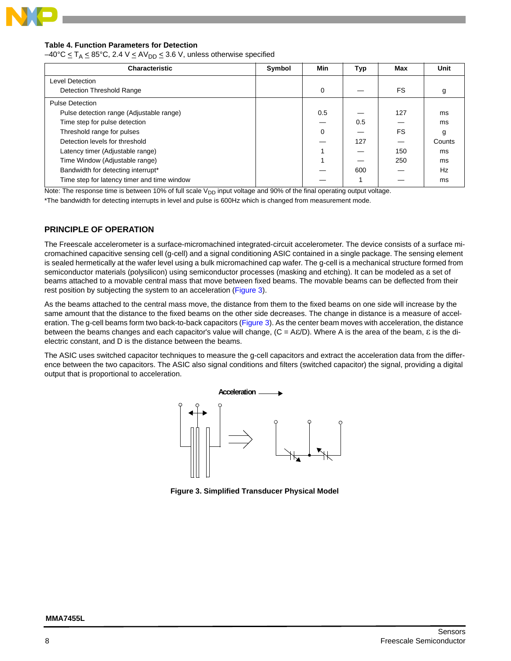

#### **Table 4. Function Parameters for Detection**

 $-40^{\circ}$ C  $\leq$  T<sub>A</sub>  $\leq$  85°C, 2.4 V  $\leq$  AV<sub>DD</sub>  $\leq$  3.6 V, unless otherwise specified

| <b>Characteristic</b>                       | Symbol | Min      | Typ | Max | Unit   |
|---------------------------------------------|--------|----------|-----|-----|--------|
| Level Detection                             |        |          |     |     |        |
| Detection Threshold Range                   |        | $\Omega$ |     | FS. | g      |
| <b>Pulse Detection</b>                      |        |          |     |     |        |
| Pulse detection range (Adjustable range)    |        | 0.5      |     | 127 | ms     |
| Time step for pulse detection               |        |          | 0.5 |     | ms     |
| Threshold range for pulses                  |        | $\Omega$ |     | FS. | g      |
| Detection levels for threshold              |        |          | 127 |     | Counts |
| Latency timer (Adjustable range)            |        |          |     | 150 | ms     |
| Time Window (Adjustable range)              |        |          |     | 250 | ms     |
| Bandwidth for detecting interrupt*          |        |          | 600 |     | Hz     |
| Time step for latency timer and time window |        |          |     |     | ms     |

Note: The response time is between 10% of full scale  $V_{DD}$  input voltage and 90% of the final operating output voltage.

\*The bandwidth for detecting interrupts in level and pulse is 600Hz which is changed from measurement mode.

## <span id="page-7-0"></span>**PRINCIPLE OF OPERATION**

The Freescale accelerometer is a surface-micromachined integrated-circuit accelerometer. The device consists of a surface micromachined capacitive sensing cell (g-cell) and a signal conditioning ASIC contained in a single package. The sensing element is sealed hermetically at the wafer level using a bulk micromachined cap wafer. The g-cell is a mechanical structure formed from semiconductor materials (polysilicon) using semiconductor processes (masking and etching). It can be modeled as a set of beams attached to a movable central mass that move between fixed beams. The movable beams can be deflected from their rest position by subjecting the system to an acceleration ([Figure 3\)](#page-7-1).

As the beams attached to the central mass move, the distance from them to the fixed beams on one side will increase by the same amount that the distance to the fixed beams on the other side decreases. The change in distance is a measure of accel-eration. The g-cell beams form two back-to-back capacitors ([Figure 3\)](#page-7-1). As the center beam moves with acceleration, the distance between the beams changes and each capacitor's value will change,  $(C = Aε/D)$ . Where A is the area of the beam, ε is the dielectric constant, and D is the distance between the beams.

The ASIC uses switched capacitor techniques to measure the g-cell capacitors and extract the acceleration data from the difference between the two capacitors. The ASIC also signal conditions and filters (switched capacitor) the signal, providing a digital output that is proportional to acceleration.



<span id="page-7-1"></span>**Figure 3. Simplified Transducer Physical Model**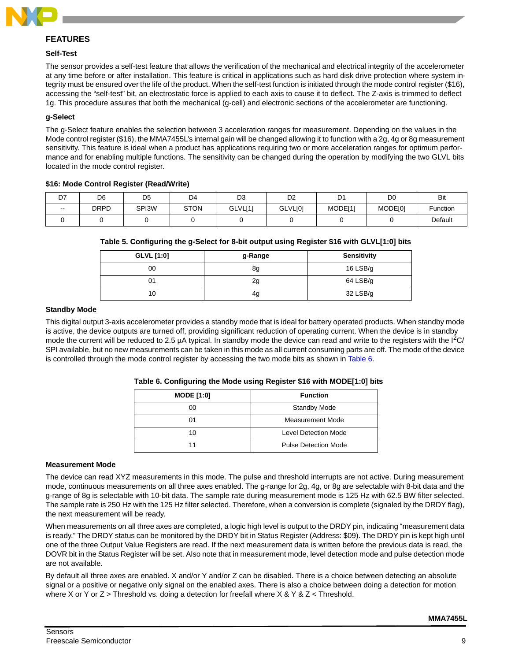

## <span id="page-8-0"></span>**FEATURES**

#### <span id="page-8-1"></span>**Self-Test**

The sensor provides a self-test feature that allows the verification of the mechanical and electrical integrity of the accelerometer at any time before or after installation. This feature is critical in applications such as hard disk drive protection where system integrity must be ensured over the life of the product. When the self-test function is initiated through the mode control register (\$16), accessing the "self-test" bit, an electrostatic force is applied to each axis to cause it to deflect. The Z-axis is trimmed to deflect 1g. This procedure assures that both the mechanical (g-cell) and electronic sections of the accelerometer are functioning.

## <span id="page-8-2"></span>**g-Select**

The g-Select feature enables the selection between 3 acceleration ranges for measurement. Depending on the values in the Mode control register (\$16), the MMA7455L's internal gain will be changed allowing it to function with a 2g, 4g or 8g measurement sensitivity. This feature is ideal when a product has applications requiring two or more acceleration ranges for optimum performance and for enabling multiple functions. The sensitivity can be changed during the operation by modifying the two GLVL bits located in the mode control register.

#### <span id="page-8-5"></span>**\$16: Mode Control Register (Read/Write)**

| D7    | D6          | D <sub>5</sub> | D4          | D <sub>3</sub> | D <sub>2</sub> | D.      | D0      | Bit      |
|-------|-------------|----------------|-------------|----------------|----------------|---------|---------|----------|
| $- -$ | <b>DRPD</b> | SPI3W          | <b>STON</b> | GLVL[1]        | GLVL[0]        | MODE[1] | MODE[0] | Function |
|       |             |                |             |                |                |         |         | Default  |

#### <span id="page-8-6"></span>**Table 5. Configuring the g-Select for 8-bit output using Register \$16 with GLVL[1:0] bits**

| GLVL [1:0] | g-Range | <b>Sensitivity</b> |
|------------|---------|--------------------|
| 00         | 8g      | 16 $LSB/g$         |
|            | 2g      | $64$ LSB/g         |
| 10         | 4g      | $32$ LSB/g         |

#### <span id="page-8-3"></span>**Standby Mode**

This digital output 3-axis accelerometer provides a standby mode that is ideal for battery operated products. When standby mode is active, the device outputs are turned off, providing significant reduction of operating current. When the device is in standby mode the current will be reduced to 2.5  $\mu$ A typical. In standby mode the device can read and write to the registers with the  $I^2C$ SPI available, but no new measurements can be taken in this mode as all current consuming parts are off. The mode of the device is controlled through the mode control register by accessing the two mode bits as shown in [Table 6](#page-8-7).

<span id="page-8-7"></span>

|  | Table 6. Configuring the Mode using Register \$16 with MODE[1:0] bits |  |  |  |  |  |
|--|-----------------------------------------------------------------------|--|--|--|--|--|
|  |                                                                       |  |  |  |  |  |

| <b>MODE [1:0]</b> | <b>Function</b>             |
|-------------------|-----------------------------|
| 00                | <b>Standby Mode</b>         |
| ი1                | Measurement Mode            |
| 10                | <b>Level Detection Mode</b> |
| 11                | <b>Pulse Detection Mode</b> |

#### <span id="page-8-4"></span>**Measurement Mode**

The device can read XYZ measurements in this mode. The pulse and threshold interrupts are not active. During measurement mode, continuous measurements on all three axes enabled. The g-range for 2g, 4g, or 8g are selectable with 8-bit data and the g-range of 8g is selectable with 10-bit data. The sample rate during measurement mode is 125 Hz with 62.5 BW filter selected. The sample rate is 250 Hz with the 125 Hz filter selected. Therefore, when a conversion is complete (signaled by the DRDY flag), the next measurement will be ready.

When measurements on all three axes are completed, a logic high level is output to the DRDY pin, indicating "measurement data is ready." The DRDY status can be monitored by the DRDY bit in Status Register (Address: \$09). The DRDY pin is kept high until one of the three Output Value Registers are read. If the next measurement data is written before the previous data is read, the DOVR bit in the Status Register will be set. Also note that in measurement mode, level detection mode and pulse detection mode are not available.

By default all three axes are enabled. X and/or Y and/or Z can be disabled. There is a choice between detecting an absolute signal or a positive or negative only signal on the enabled axes. There is also a choice between doing a detection for motion where X or Y or Z > Threshold vs. doing a detection for freefall where X & Y & Z < Threshold.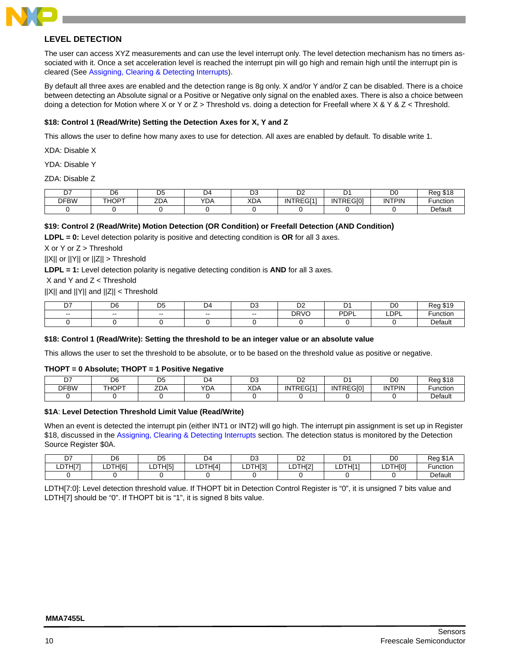

## <span id="page-9-0"></span>**LEVEL DETECTION**

The user can access XYZ measurements and can use the level interrupt only. The level detection mechanism has no timers associated with it. Once a set acceleration level is reached the interrupt pin will go high and remain high until the interrupt pin is cleared (See [Assigning, Clearing & Detecting Interrupts](#page-14-0)).

By default all three axes are enabled and the detection range is 8g only. X and/or Y and/or Z can be disabled. There is a choice between detecting an Absolute signal or a Positive or Negative only signal on the enabled axes. There is also a choice between doing a detection for Motion where X or Y or Z > Threshold vs. doing a detection for Freefall where X & Y & Z < Threshold.

#### <span id="page-9-1"></span>**\$18: Control 1 (Read/Write) Setting the Detection Axes for X, Y and Z**

This allows the user to define how many axes to use for detection. All axes are enabled by default. To disable write 1.

XDA: Disable X

YDA: Disable Y

ZDA: Disable Z

| n,          | DЄ    | nд<br>◡    | $\overline{\phantom{a}}$<br>14<br>ັ | n.,<br>◡   | $\sim$<br>◡▵    |           | DC            | $\sim$<br>D∩n<br>10 |
|-------------|-------|------------|-------------------------------------|------------|-----------------|-----------|---------------|---------------------|
| <b>DFBW</b> | THOPT | 70<br>_DP. | <b>YDA</b>                          | <b>XDA</b> | INTREG[1]<br>◝◡ | INTREGI01 | <b>INTPIN</b> | unction             |
|             |       |            |                                     |            |                 |           |               | Default             |

## <span id="page-9-2"></span>**\$19: Control 2 (Read/Write) Motion Detection (OR Condition) or Freefall Detection (AND Condition)**

**LDPL = 0:** Level detection polarity is positive and detecting condition is **OR** for all 3 axes.

X or Y or Z > Threshold

||X|| or ||Y|| or ||Z|| > Threshold

**LDPL = 1:** Level detection polarity is negative detecting condition is **AND** for all 3 axes.

X and Y and Z < Threshold

||X|| and ||Y|| and ||Z|| < Threshold

| n7<br>◡       | D6     | nε<br>◡ | DД<br>້ | ◡             | $\sim$<br>◡▵ |                  | D <sub>0</sub>   |                    |
|---------------|--------|---------|---------|---------------|--------------|------------------|------------------|--------------------|
| $\sim$ $\sim$ | $\sim$ | $- -$   | $- -$   | $\sim$ $\sim$ | DRVC         | <b>PDPL</b><br>- | LDP <sup>I</sup> | 110.0110<br>1CIIOI |
|               |        |         |         |               |              |                  |                  | วefault            |

#### <span id="page-9-3"></span>**\$18: Control 1 (Read/Write): Setting the threshold to be an integer value or an absolute value**

This allows the user to set the threshold to be absolute, or to be based on the threshold value as positive or negative.

#### <span id="page-9-5"></span>**THOPT = 0 Absolute; THOPT = 1 Positive Negative**

| ∼-<br>- 1   | D <sub>6</sub>    | --<br>◡               | ١Δ<br><u>.</u> | ◡                | r c<br>◡▵ |                  | D <sub>0</sub> | <u> ຕ 4 ຕ</u><br>سمدت<br>- 10 I O<br>' van |
|-------------|-------------------|-----------------------|----------------|------------------|-----------|------------------|----------------|--------------------------------------------|
| <b>DFBW</b> | THOP <sup>+</sup> | $\overline{7}$<br>LDP | YDA            | $V\Gamma$<br>XDA | INTREGI11 | <b>INTREGIOI</b> | <b>INTPIN</b>  | ∶unction                                   |
|             |                   |                       |                |                  |           |                  |                | Default                                    |

#### <span id="page-9-4"></span>**\$1A**: **Level Detection Threshold Limit Value (Read/Write)**

When an event is detected the interrupt pin (either INT1 or INT2) will go high. The interrupt pin assignment is set up in Register \$18, discussed in the [Assigning, Clearing & Detecting Interrupts](#page-14-0) section. The detection status is monitored by the Detection Source Register \$0A.

| --      | D6          | nҕ<br>◡                 | 74          | n o<br>്പ   | n,<br>◡∠      |              | D <sub>0</sub>              | $\sim$<br>Rec<br>51 A |
|---------|-------------|-------------------------|-------------|-------------|---------------|--------------|-----------------------------|-----------------------|
| LDTH[7' | DTH[6]<br>◡ | DTH <sub>[5]</sub><br>◡ | DTHI41<br>◡ | DTHI31<br>◡ | ןTHI2<br>ـ∟ ـ | DTHI11<br>∟∟ | <b>DTHIOI</b><br><u>، ب</u> | Function              |
|         |             |                         |             |             |               |              |                             | Default               |

LDTH[7:0]: Level detection threshold value. If THOPT bit in Detection Control Register is "0", it is unsigned 7 bits value and LDTH[7] should be "0". If THOPT bit is "1", it is signed 8 bits value.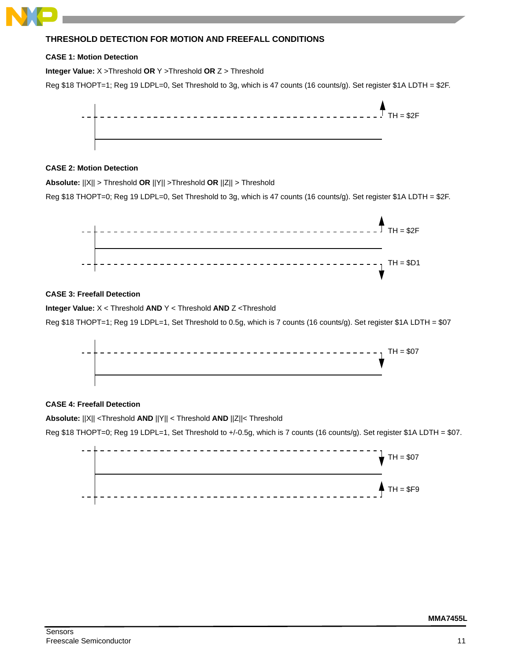# <span id="page-10-0"></span>**THRESHOLD DETECTION FOR MOTION AND FREEFALL CONDITIONS**

#### <span id="page-10-1"></span>**CASE 1: Motion Detection**

**Integer Value:** X >Threshold **OR** Y >Threshold **OR** Z > Threshold

Reg \$18 THOPT=1; Reg 19 LDPL=0, Set Threshold to 3g, which is 47 counts (16 counts/g). Set register \$1A LDTH = \$2F.



## <span id="page-10-2"></span>**CASE 2: Motion Detection**

**Absolute:** ||X|| > Threshold **OR** ||Y|| >Threshold **OR** ||Z|| > Threshold

Reg \$18 THOPT=0; Reg 19 LDPL=0, Set Threshold to 3g, which is 47 counts (16 counts/g). Set register \$1A LDTH = \$2F.



## <span id="page-10-3"></span>**CASE 3: Freefall Detection**

**Integer Value:** X < Threshold **AND** Y < Threshold **AND** Z <Threshold

Reg \$18 THOPT=1; Reg 19 LDPL=1, Set Threshold to 0.5g, which is 7 counts (16 counts/g). Set register \$1A LDTH = \$07



## <span id="page-10-4"></span>**CASE 4: Freefall Detection**

**Absolute:** ||X|| <Threshold **AND** ||Y|| < Threshold **AND** ||Z||< Threshold

Reg \$18 THOPT=0; Reg 19 LDPL=1, Set Threshold to +/-0.5g, which is 7 counts (16 counts/g). Set register \$1A LDTH = \$07.

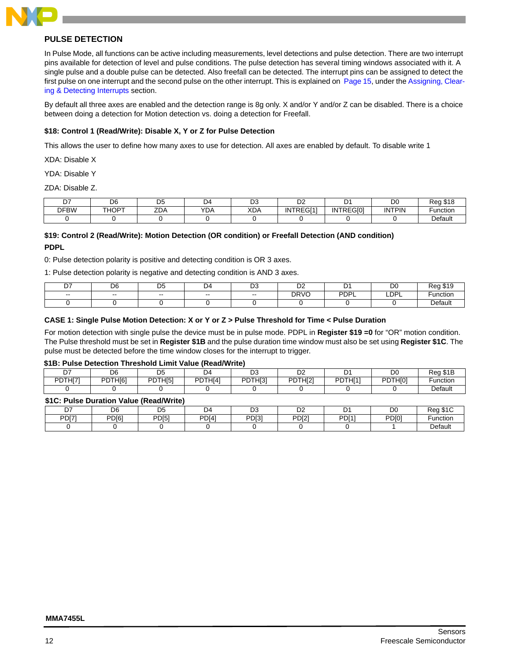

## <span id="page-11-0"></span>**PULSE DETECTION**

In Pulse Mode, all functions can be active including measurements, level detections and pulse detection. There are two interrupt pins available for detection of level and pulse conditions. The pulse detection has several timing windows associated with it. A single pulse and a double pulse can be detected. Also freefall can be detected. The interrupt pins can be assigned to detect the first pulse on one interrupt and the second pulse on the other interrupt. This is explained on [Page 15](#page-14-0), under the [Assigning, Clear](#page-14-0)[ing & Detecting Interrupts](#page-14-0) section.

By default all three axes are enabled and the detection range is 8g only. X and/or Y and/or Z can be disabled. There is a choice between doing a detection for Motion detection vs. doing a detection for Freefall.

#### <span id="page-11-1"></span>**\$18: Control 1 (Read/Write): Disable X, Y or Z for Pulse Detection**

This allows the user to define how many axes to use for detection. All axes are enabled by default. To disable write 1

XDA: Disable X

YDA: Disable Y

ZDA: Disable Z.

| --          | D <sub>6</sub> | <b>DE</b><br>◡ | $\mathbf{A}$<br>້ | $\sim$<br>◡       | $\sim$ $\sim$<br>◡ |           | D <sub>0</sub> | $D \wedge \wedge$<br>7an<br>- 10 I C |
|-------------|----------------|----------------|-------------------|-------------------|--------------------|-----------|----------------|--------------------------------------|
| <b>DFBW</b> | <b>THOPT</b>   | <b>ZDA</b>     | YDA               | <b>YDA</b><br>ヘレヘ | INTREGI11          | INTREGI01 | <b>INTPIN</b>  | unction                              |
|             |                |                |                   |                   |                    |           |                | Default                              |

## <span id="page-11-2"></span>**\$19: Control 2 (Read/Write): Motion Detection (OR condition) or Freefall Detection (AND condition) PDPL**

0: Pulse detection polarity is positive and detecting condition is OR 3 axes.

1: Pulse detection polarity is negative and detecting condition is AND 3 axes.

| כת            | D6  | $\sim$<br>◡ | ıд    | r.<br>◡ | n,<br>◡▵             |      | DC        | 7A C    |
|---------------|-----|-------------|-------|---------|----------------------|------|-----------|---------|
| $\sim$ $\sim$ | $-$ | $- -$       | $- -$ | $- -$   | <b>DRVO</b><br>1 V 1 | PDPL | LDP'<br>- | unctior |
|               |     |             |       |         |                      |      |           | Default |

#### <span id="page-11-3"></span>**CASE 1: Single Pulse Motion Detection: X or Y or Z > Pulse Threshold for Time < Pulse Duration**

For motion detection with single pulse the device must be in pulse mode. PDPL in **Register \$19 =0** for "OR" motion condition. The Pulse threshold must be set in **Register \$1B** and the pulse duration time window must also be set using **Register \$1C**. The pulse must be detected before the time window closes for the interrupt to trigger.

#### <span id="page-11-4"></span>**\$1B: Pulse Detection Threshold Limit Value (Read/Write)**

| n7<br>D. | D6      | n-<br>◡             | D4      | n o<br>υa           | r.<br>◡∠ |         | D <sub>0</sub> | Rea \$1B |
|----------|---------|---------------------|---------|---------------------|----------|---------|----------------|----------|
| PDTHI71  | PDTHI61 | PDTH <sub>[5]</sub> | PDTHI41 | PDTH <sub>[3]</sub> | PDTHI21  | PDTHI11 | PDTHI01        | Function |
|          |         |                     |         |                     |          |         |                | Default  |

#### <span id="page-11-5"></span>**\$1C: Pulse Duration Value (Read/Write)**

|                   |                   | .                |              |                   |                    |              |                   |              |
|-------------------|-------------------|------------------|--------------|-------------------|--------------------|--------------|-------------------|--------------|
| $\sim$            | D <sub>6</sub>    | --<br>◡          | ıД           | r.                | <sub>n</sub><br>◡▵ |              | D <sub>0</sub>    | $\sim$<br>∩∼ |
| PD <sub>[7]</sub> | PD <sub>[6]</sub> | PD <sub>[5</sub> | <b>PD[4]</b> | PD <sub>[3]</sub> | <b>PD[2]</b>       | <b>PD[1]</b> | PD <sub>[0]</sub> | ·unctior     |
|                   |                   |                  |              |                   |                    |              |                   | Default      |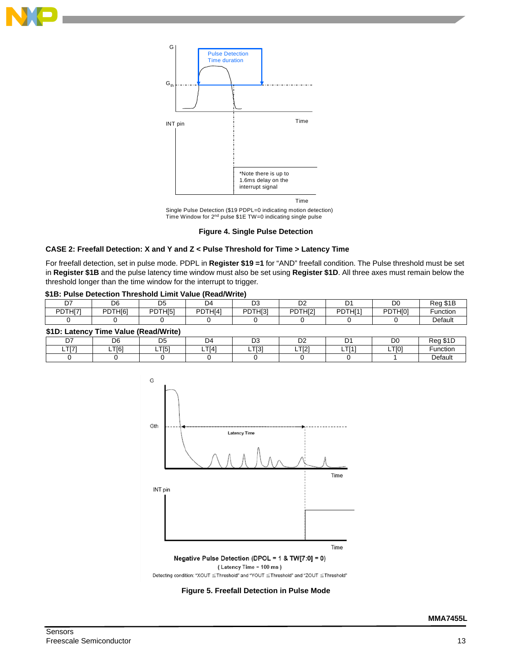



Single Pulse Detection (\$19 PDPL=0 indicating motion detection)<br>Time Window for 2<sup>nd</sup> pulse \$1E TW=0 indicating single pulse

#### **Figure 4. Single Pulse Detection**

#### <span id="page-12-1"></span><span id="page-12-0"></span>**CASE 2: Freefall Detection: X and Y and Z < Pulse Threshold for Time > Latency Time**

For freefall detection, set in pulse mode. PDPL in **Register \$19 =1** for "AND" freefall condition. The Pulse threshold must be set in **Register \$1B** and the pulse latency time window must also be set using **Register \$1D**. All three axes must remain below the threshold longer than the time window for the interrupt to trigger.

#### <span id="page-12-3"></span>**\$1B: Pulse Detection Threshold Limit Value (Read/Write)**

| ~-<br>U. | D6      | <b>DE</b><br>◡      | D4      | ◡              | n <sub>c</sub><br>◡▵ |         | DC<br>יש     | $A \cap$<br>Rec |
|----------|---------|---------------------|---------|----------------|----------------------|---------|--------------|-----------------|
| PDTHI7   | PDTHI61 | PDTHI <sub>51</sub> | PDTHI4' | PDTHI31<br>ו ש | PDTHI21              | PDTH[1] | PDTHI01<br>◡ | Functior.       |
|          |         |                     |         |                |                      |         |              | Default         |

## <span id="page-12-4"></span>**\$1D: Latency Time Value (Read/Write)**

| D7          | D <sub>6</sub> | nε<br>◡      | D4          | n o<br>υa          | n,<br>◡▵    |              | DO    | $A \cap$<br>חמד<br>- 30 I L |
|-------------|----------------|--------------|-------------|--------------------|-------------|--------------|-------|-----------------------------|
| TTZ1<br>- 1 | T[6]           | .TI51<br>- 1 | <b>TI41</b> | <b>TIO1</b><br>ᆸᆝᇰ | TTOM<br>느니스 | TTI41<br>- 1 | LTI01 | Function                    |
|             |                |              |             |                    |             |              |       | <b>Default</b>              |



<span id="page-12-2"></span>**Figure 5. Freefall Detection in Pulse Mode**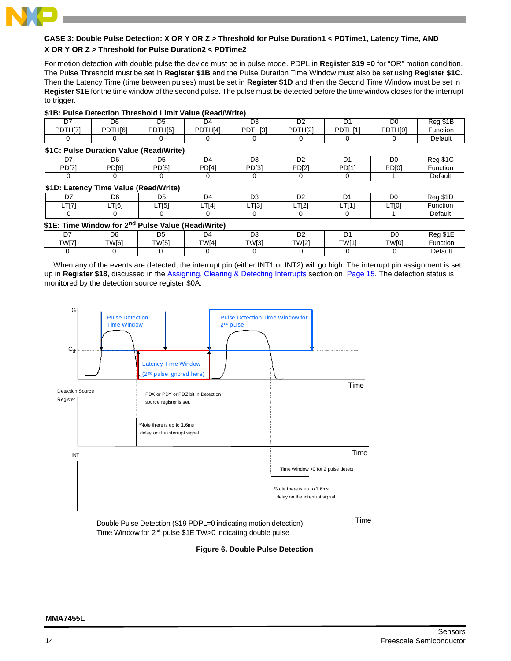

## <span id="page-13-0"></span>**CASE 3: Double Pulse Detection: X OR Y OR Z > Threshold for Pulse Duration1 < PDTime1, Latency Time, AND X OR Y OR Z > Threshold for Pulse Duration2 < PDTime2**

For motion detection with double pulse the device must be in pulse mode. PDPL in **Register \$19 =0** for "OR" motion condition. The Pulse Threshold must be set in **Register \$1B** and the Pulse Duration Time Window must also be set using **Register \$1C**. Then the Latency Time (time between pulses) must be set in **Register \$1D** and then the Second Time Window must be set in **Register \$1E** for the time window of the second pulse. The pulse must be detected before the time window closes for the interrupt to trigger.

#### <span id="page-13-2"></span>**\$1B: Pulse Detection Threshold Limit Value (Read/Write)**

| D7                                      | D <sub>6</sub> | D5                  | D4                  | D3                  | D <sub>2</sub>      | D1                  | D0      | Reg \$1B |
|-----------------------------------------|----------------|---------------------|---------------------|---------------------|---------------------|---------------------|---------|----------|
| PDTHI71                                 | PDTH[6]        | PDTH <sub>[5]</sub> | PDTH <sub>[4]</sub> | PDTH <sub>[3]</sub> | PDTH <sub>[2]</sub> | PDTH <sub>[1]</sub> | PDTHI01 | Function |
|                                         |                |                     |                     |                     |                     |                     |         | Default  |
| \$1C: Pulse Duration Value (Read/Write) |                |                     |                     |                     |                     |                     |         |          |
| D7                                      | D <sub>6</sub> | D <sub>5</sub>      | D4                  | D3                  | D <sub>2</sub>      | Dʻ                  | D0      | Reg \$1C |

<span id="page-13-3"></span>

| ້                 | טש                | υu                            | 94                | ◡                 | ◡            | ັ            | טע                | <b>REY JIL</b> |
|-------------------|-------------------|-------------------------------|-------------------|-------------------|--------------|--------------|-------------------|----------------|
| PDI7 <sup>*</sup> | PD <sub>[6]</sub> | <b>PD[5]</b>                  | PD <sub>[4]</sub> | PD <sub>[3]</sub> | <b>PDI21</b> | <b>PD[1]</b> | PD <sub>[0]</sub> | Function       |
|                   |                   |                               |                   |                   |              |              |                   | Default        |
| .                 | --<br>.           | .<br>$\overline{\phantom{0}}$ |                   |                   |              |              |                   |                |

#### <span id="page-13-4"></span>**\$1D: Latency Time Value (Read/Write)**

| n7               | D <sub>6</sub>   | nб<br>◡                              | D4                          | $\sim$ $\sim$<br>◡ | $\sim$<br>◡▵      |            | D <sub>0</sub>    | $\sim$ $\sim$<br>$\sim$ |
|------------------|------------------|--------------------------------------|-----------------------------|--------------------|-------------------|------------|-------------------|-------------------------|
| <b>T[7]</b><br>. | T <sub>[6]</sub> | T <sub>[<sub>5</sub>]</sub><br>י טוי | T <sub>1</sub><br>14<br>- 1 | TT01<br>י טוו⊾     | TT[2]<br>⊢<br>. . | TTI41<br>- | LTIO <sup>7</sup> | ∙unctioi                |
|                  |                  |                                      |                             |                    |                   |            |                   | Default                 |

## <span id="page-13-5"></span>**\$1E: Time Window for 2nd Pulse Value (Read/Write)**

| --    | D6                | <b>D5</b><br>◡    | D4                | r.<br>ں ر      | D <sub>C</sub><br>◡▵ |                   | D            | $\overline{\phantom{a}}$<br>، - |
|-------|-------------------|-------------------|-------------------|----------------|----------------------|-------------------|--------------|---------------------------------|
| TWI71 | TW <sub>[6]</sub> | TW <sub>[5]</sub> | TW <sub>[4]</sub> | <b>TIA/F31</b> | <b>TW[2]</b>         | TW <sub>[1]</sub> | <b>TWI01</b> | ∙unction                        |
|       |                   |                   |                   |                |                      |                   |              | Default                         |

When any of the events are detected, the interrupt pin (either INT1 or INT2) will go high. The interrupt pin assignment is set up in **Register \$18**, discussed in the [Assigning, Clearing & Detecting Interrupts](#page-14-0) section on [Page 15](#page-14-0). The detection status is monitored by the detection source register \$0A.



<span id="page-13-1"></span>Double Pulse Detection (\$19 PDPL=0 indicating motion detection) Time Time Window for 2nd pulse \$1E TW>0 indicating double pulse

**Figure 6. Double Pulse Detection**

## **MMA7455L**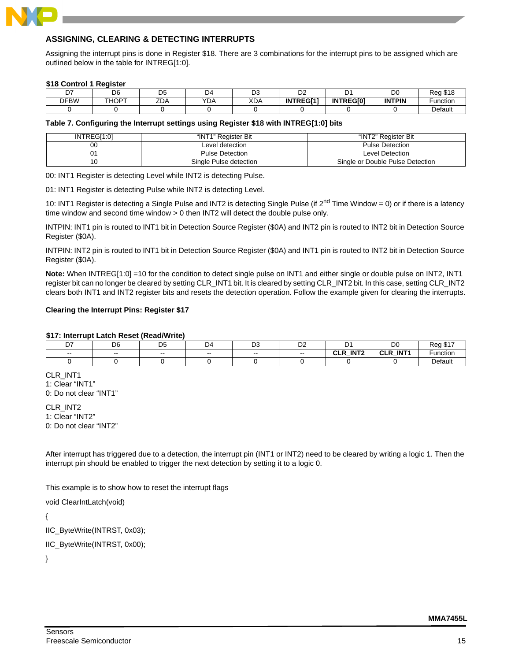

## <span id="page-14-0"></span>**ASSIGNING, CLEARING & DETECTING INTERRUPTS**

Assigning the interrupt pins is done in Register \$18. There are 3 combinations for the interrupt pins to be assigned which are outlined below in the table for INTREG[1:0].

#### <span id="page-14-2"></span>**\$18 Control 1 Register**

| --          | D <sub>6</sub> | n,<br>◡                        | ∩4<br><u>.</u>   | ◡          | ◡                |                  | D <sub>0</sub> | <b>010</b><br>D∩n<br>10 C |
|-------------|----------------|--------------------------------|------------------|------------|------------------|------------------|----------------|---------------------------|
| <b>DFBW</b> | <b>THOPT</b>   | $\overline{\phantom{a}}$<br>ᅩᇅ | $\sqrt{2}$<br>DΡ | <b>XDA</b> | <b>INTREGI11</b> | <b>INTREGIOT</b> | <b>INTPIN</b>  | unction                   |
|             |                |                                |                  |            |                  |                  |                | Default                   |

#### <span id="page-14-3"></span>**Table 7. Configuring the Interrupt settings using Register \$18 with INTREG[1:0] bits**

| INTREGI1:01 | "INT1" Reaister Bit    | "INT2" Reaister Bit              |
|-------------|------------------------|----------------------------------|
| 00          | Level detection        | <b>Pulse Detection</b>           |
|             | <b>Pulse Detection</b> | Level Detection                  |
|             | Single Pulse detection | Single or Double Pulse Detection |

00: INT1 Register is detecting Level while INT2 is detecting Pulse.

01: INT1 Register is detecting Pulse while INT2 is detecting Level.

10: INT1 Register is detecting a Single Pulse and INT2 is detecting Single Pulse (if 2<sup>nd</sup> Time Window = 0) or if there is a latency time window and second time window > 0 then INT2 will detect the double pulse only.

INTPIN: INT1 pin is routed to INT1 bit in Detection Source Register (\$0A) and INT2 pin is routed to INT2 bit in Detection Source Register (\$0A).

INTPIN: INT2 pin is routed to INT1 bit in Detection Source Register (\$0A) and INT1 pin is routed to INT2 bit in Detection Source Register (\$0A).

**Note:** When INTREG[1:0] =10 for the condition to detect single pulse on INT1 and either single or double pulse on INT2, INT1 register bit can no longer be cleared by setting CLR\_INT1 bit. It is cleared by setting CLR\_INT2 bit. In this case, setting CLR\_INT2 clears both INT1 and INT2 register bits and resets the detection operation. Follow the example given for clearing the interrupts.

#### <span id="page-14-1"></span>**Clearing the Interrupt Pins: Register \$17**

#### <span id="page-14-4"></span>**\$17: Interrupt Latch Reset (Read/Write)**

| --<br>--                 | <sub>n</sub><br>υb | DΕ<br>◡ | D4    | r.<br>◡ | r.<br>◡▵ |                               | D <sub>0</sub>                           | wu      |
|--------------------------|--------------------|---------|-------|---------|----------|-------------------------------|------------------------------------------|---------|
| $\overline{\phantom{a}}$ | $- -$              | $- -$   | $- -$ | $- -$   | $- -$    | INT <sub>2</sub><br>ה וה<br>- | INT <sub>1</sub><br>$\sim$ D<br>ᄖ<br>$-$ | unctior |
|                          |                    |         |       |         |          |                               |                                          | Default |

CLR\_INT1 1: Clear "INT1" 0: Do not clear "INT1"

CLR\_INT2 1: Clear "INT2" 0: Do not clear "INT2"

After interrupt has triggered due to a detection, the interrupt pin (INT1 or INT2) need to be cleared by writing a logic 1. Then the interrupt pin should be enabled to trigger the next detection by setting it to a logic 0.

This example is to show how to reset the interrupt flags

void ClearIntLatch(void)

{

IIC\_ByteWrite(INTRST, 0x03);

IIC\_ByteWrite(INTRST, 0x00);

}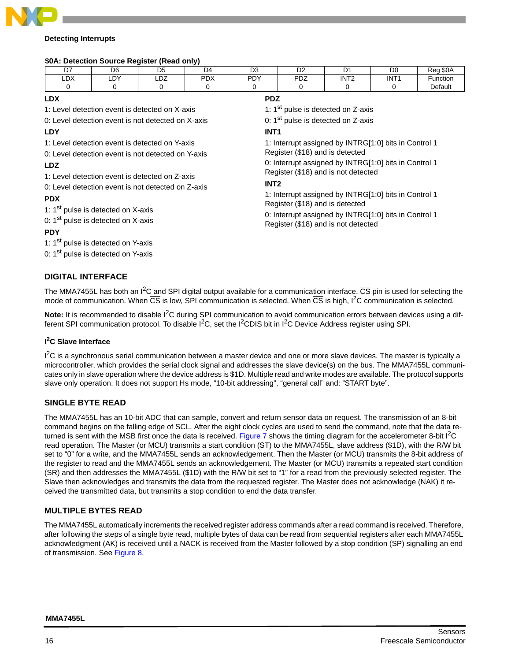

## <span id="page-15-0"></span>**Detecting Interrupts**

#### <span id="page-15-3"></span>**\$0A: Detection Source Register (Read only)**

| ------         |                | -----<br>.     |                  |                      |            |                  |                  |                                                         |
|----------------|----------------|----------------|------------------|----------------------|------------|------------------|------------------|---------------------------------------------------------|
| n <sub>7</sub> | D <sub>6</sub> | D <sub>5</sub> | D4               | D <sub>0</sub><br>υs | r.<br>◡▵   |                  | DO               | <b>\$0A</b><br>$D_{\Omega}$<br>$\overline{\phantom{a}}$ |
| r.<br>−⊔∧      | nv<br>י ש∟     | $\sim$ $\sim$  | <b>DDV</b><br>^∪ | <b>DDV</b>           | דחם<br>∠ט′ | INT <sub>2</sub> | INT <sup>®</sup> | unction                                                 |
|                |                |                |                  |                      |            |                  |                  | Default                                                 |
|                |                |                |                  |                      |            |                  |                  |                                                         |

## **LDX**

1: Level detection event is detected on X-axis

0: Level detection event is not detected on X-axis

**LDY** 

1: Level detection event is detected on Y-axis

0: Level detection event is not detected on Y-axis

# **LDZ**

1: Level detection event is detected on Z-axis

0: Level detection event is not detected on Z-axis

## **PDX**

1:  $1<sup>st</sup>$  pulse is detected on X-axis

0:  $1<sup>st</sup>$  pulse is detected on X-axis

## **PDY**

1: 1<sup>st</sup> pulse is detected on Y-axis

0: 1<sup>st</sup> pulse is detected on Y-axis

## <span id="page-15-1"></span>**DIGITAL INTERFACE**

## **PDZ**

1: 1<sup>st</sup> pulse is detected on Z-axis

0: 1<sup>st</sup> pulse is detected on Z-axis

## **INT1**

1: Interrupt assigned by INTRG[1:0] bits in Control 1 Register (\$18) and is detected

0: Interrupt assigned by INTRG[1:0] bits in Control 1 Register (\$18) and is not detected

## **INT2**

1: Interrupt assigned by INTRG[1:0] bits in Control 1 Register (\$18) and is detected

0: Interrupt assigned by INTRG[1:0] bits in Control 1 Register (\$18) and is not detected

The MMA7455L has both an  $I^2C$  and SPI digital output available for a communication interface.  $\overline{CS}$  pin is used for selecting the mode of communication. When  $\overline{CS}$  is low, SPI communication is selected. When  $\overline{CS}$  is high,  $I^2C$  communication is selected.

**Note:** It is recommended to disable I<sup>2</sup>C during SPI communication to avoid communication errors between devices using a different SPI communication protocol. To disable  $I^2C$ , set the  $I^2CDIS$  bit in  $I^2C$  Device Address register using SPI.

## <span id="page-15-2"></span>**I 2C Slave Interface**

<sup>12</sup>C is a synchronous serial communication between a master device and one or more slave devices. The master is typically a microcontroller, which provides the serial clock signal and addresses the slave device(s) on the bus. The MMA7455L communicates only in slave operation where the device address is \$1D. Multiple read and write modes are available. The protocol supports slave only operation. It does not support Hs mode, "10-bit addressing", "general call" and: "START byte".

## **SINGLE BYTE READ**

The MMA7455L has an 10-bit ADC that can sample, convert and return sensor data on request. The transmission of an 8-bit command begins on the falling edge of SCL. After the eight clock cycles are used to send the command, note that the data re-turned is sent with the MSB first once the data is received. [Figure 7](#page-16-0) shows the timing diagram for the accelerometer 8-bit I<sup>2</sup>C read operation. The Master (or MCU) transmits a start condition (ST) to the MMA7455L, slave address (\$1D), with the R/W bit set to "0" for a write, and the MMA7455L sends an acknowledgement. Then the Master (or MCU) transmits the 8-bit address of the register to read and the MMA7455L sends an acknowledgement. The Master (or MCU) transmits a repeated start condition (SR) and then addresses the MMA7455L (\$1D) with the R/W bit set to "1" for a read from the previously selected register. The Slave then acknowledges and transmits the data from the requested register. The Master does not acknowledge (NAK) it received the transmitted data, but transmits a stop condition to end the data transfer.

## **MULTIPLE BYTES READ**

The MMA7455L automatically increments the received register address commands after a read command is received. Therefore, after following the steps of a single byte read, multiple bytes of data can be read from sequential registers after each MMA7455L acknowledgment (AK) is received until a NACK is received from the Master followed by a stop condition (SP) signalling an end of transmission. See [Figure 8](#page-16-1).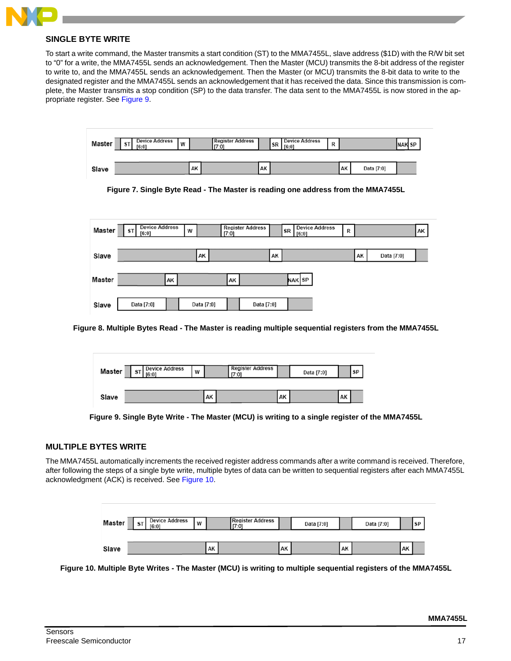

## **SINGLE BYTE WRITE**

To start a write command, the Master transmits a start condition (ST) to the MMA7455L, slave address (\$1D) with the R/W bit set to "0" for a write, the MMA7455L sends an acknowledgement. Then the Master (MCU) transmits the 8-bit address of the register to write to, and the MMA7455L sends an acknowledgement. Then the Master (or MCU) transmits the 8-bit data to write to the designated register and the MMA7455L sends an acknowledgement that it has received the data. Since this transmission is complete, the Master transmits a stop condition (SP) to the data transfer. The data sent to the MMA7455L is now stored in the appropriate register. See [Figure 9.](#page-16-2)



<span id="page-16-0"></span>

| Master | <b>Device Address</b><br><b>ST</b><br>[6:0] |    | W |            | [7:0] | <b>Register Address</b> |    | $\begin{array}{ c c c c c }\n\hline\n\end{array}$ SR $\begin{array}{ c c c c c c }\n\hline\n\hline\n\end{array}$ | <b>Device Address</b> | R |    |            | AK |
|--------|---------------------------------------------|----|---|------------|-------|-------------------------|----|------------------------------------------------------------------------------------------------------------------|-----------------------|---|----|------------|----|
|        |                                             |    |   |            |       |                         |    |                                                                                                                  |                       |   |    |            |    |
| Slave  |                                             |    |   | AK         |       |                         | AK |                                                                                                                  |                       |   | AK | Data [7:0] |    |
| Master |                                             | AK |   |            | AK    |                         |    | NAK SP                                                                                                           |                       |   |    |            |    |
|        |                                             |    |   |            |       |                         |    |                                                                                                                  |                       |   |    |            |    |
| Slave  | Data [7:0]                                  |    |   | Data [7:0] |       | Data [7:0]              |    |                                                                                                                  |                       |   |    |            |    |

<span id="page-16-1"></span>**Figure 8. Multiple Bytes Read - The Master is reading multiple sequential registers from the MMA7455L**

| Master | <b>Device Address</b><br>W<br>∍ |  | <b>Register Address</b><br>[7:0] |  |  |    | Data [7:0] |    | <b>SP</b> |
|--------|---------------------------------|--|----------------------------------|--|--|----|------------|----|-----------|
|        |                                 |  |                                  |  |  |    |            |    |           |
| Slave  |                                 |  | AK                               |  |  | AK |            | AK |           |

## <span id="page-16-2"></span>**MULTIPLE BYTES WRITE**

The MMA7455L automatically increments the received register address commands after a write command is received. Therefore, after following the steps of a single byte write, multiple bytes of data can be written to sequential registers after each MMA7455L acknowledgment (ACK) is received. See [Figure 10](#page-16-3).

| Master | <b>Device Address</b><br>W<br>$\mathbf{5}$<br>[6:0] |  | <b>Register Address</b><br>[7:0] |  | Data [7:0] |  | Data [7:0] |  | <b>SP</b> |  |
|--------|-----------------------------------------------------|--|----------------------------------|--|------------|--|------------|--|-----------|--|
|        |                                                     |  |                                  |  |            |  |            |  |           |  |
| Slave  |                                                     |  | AK                               |  | AK         |  | AK         |  | AK        |  |

<span id="page-16-3"></span>**Figure 10. Multiple Byte Writes - The Master (MCU) is writing to multiple sequential registers of the MMA7455L**

**Figure 9. Single Byte Write - The Master (MCU) is writing to a single register of the MMA7455L**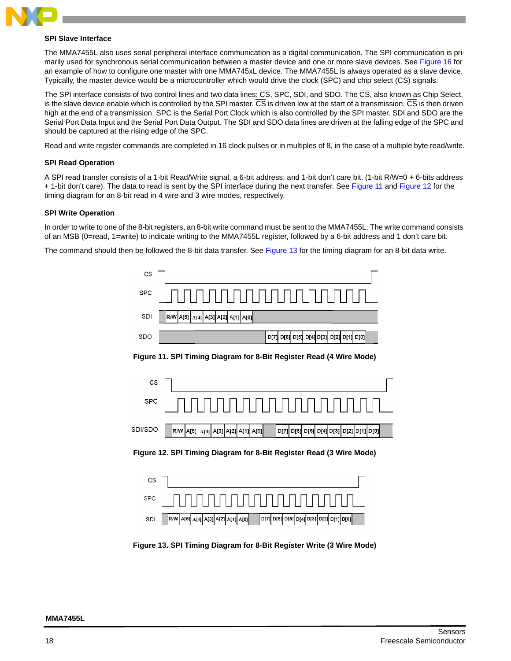

#### <span id="page-17-0"></span>**SPI Slave Interface**

The MMA7455L also uses serial peripheral interface communication as a digital communication. The SPI communication is primarily used for synchronous serial communication between a master device and one or more slave devices. See [Figure 16](#page-19-0) for an example of how to configure one master with one MMA745xL device. The MMA7455L is always operated as a slave device. Typically, the master device would be a microcontroller which would drive the clock (SPC) and chip select (CS) signals.

The SPI interface consists of two control lines and two data lines:  $\overline{CS}$ , SPC, SDI, and SDO. The  $\overline{CS}$ , also known as Chip Select, is the slave device enable which is controlled by the SPI master. CS is driven low at the start of a transmission. CS is then driven high at the end of a transmission. SPC is the Serial Port Clock which is also controlled by the SPI master. SDI and SDO are the Serial Port Data Input and the Serial Port Data Output. The SDI and SDO data lines are driven at the falling edge of the SPC and should be captured at the rising edge of the SPC.

Read and write register commands are completed in 16 clock pulses or in multiples of 8, in the case of a multiple byte read/write.

#### **SPI Read Operation**

A SPI read transfer consists of a 1-bit Read/Write signal, a 6-bit address, and 1-bit don't care bit. (1-bit R/W=0 + 6-bits address + 1-bit don't care). The data to read is sent by the SPI interface during the next transfer. See [Figure 11](#page-17-1) and [Figure 12](#page-17-2) for the timing diagram for an 8-bit read in 4 wire and 3 wire modes, respectively.

## **SPI Write Operation**

In order to write to one of the 8-bit registers, an 8-bit write command must be sent to the MMA7455L. The write command consists of an MSB (0=read, 1=write) to indicate writing to the MMA7455L register, followed by a 6-bit address and 1 don't care bit.

<span id="page-17-1"></span>The command should then be followed the 8-bit data transfer. See [Figure 13](#page-17-3) for the timing diagram for an 8-bit data write.

| CS         |                                                                                       |
|------------|---------------------------------------------------------------------------------------|
| <b>SPC</b> |                                                                                       |
| SDI        | R/W   A[5]   A[4]   A[3]   A[2]   A[1]   A[0]                                         |
| SDO        | D[6] D[5] D[4] D[3] D[2] D[1] D[0]<br>D[7]                                            |
|            | Figure 11. SPI Timing Diagram for 8-Bit Register Read (4 Wire Mode)                   |
| CS         |                                                                                       |
| <b>SPC</b> |                                                                                       |
| SDI/SDO    | A[4] A[3] A[2] A[1] A[0]<br>D[6] D[5] D[4] D[3] D[2] D[1] D[0]<br>A[5]<br>D[7]<br>R/W |
|            | Figure 12. SPI Timing Diagram for 8-Bit Register Read (3 Wire Mode)                   |
| CS         |                                                                                       |
| <b>SPC</b> |                                                                                       |
| SDI        | D[7] D[6] D[5] D[4] D[3] D[2] D[1] D[0]<br>R/W   A[5] A[4] A[3] A[2] A[1] A[0]        |

<span id="page-17-3"></span><span id="page-17-2"></span>**Figure 13. SPI Timing Diagram for 8-Bit Register Write (3 Wire Mode)**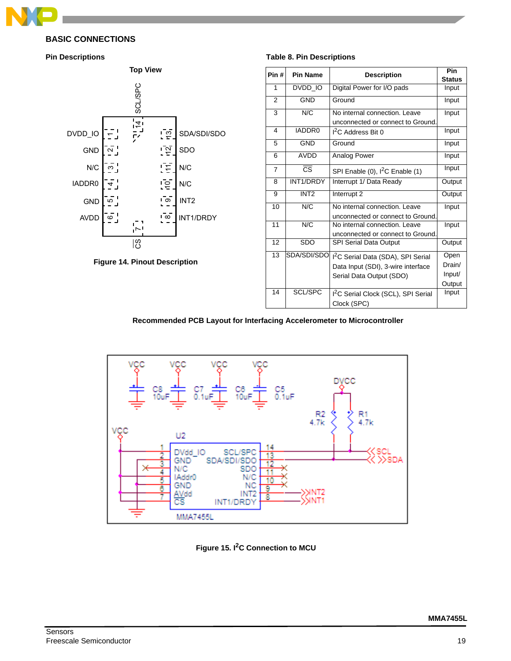

## <span id="page-18-0"></span>**BASIC CONNECTIONS**

<span id="page-18-1"></span>



<span id="page-18-3"></span>

#### <span id="page-18-5"></span>**Table 8. Pin Descriptions**

| <b>Top View</b>           |                         |                  | Pin#           | <b>Pin Name</b>        | <b>Description</b>                                                                                      | Pin<br><b>Status</b> |
|---------------------------|-------------------------|------------------|----------------|------------------------|---------------------------------------------------------------------------------------------------------|----------------------|
|                           |                         |                  | 1              | DVDD_IO                | Digital Power for I/O pads                                                                              | Input                |
| <b>SCL/SPC</b>            |                         |                  | 2              | <b>GND</b>             | Ground                                                                                                  | Input                |
|                           |                         |                  | 3              | N/C                    | No internal connection. Leave                                                                           | Input                |
| $\sqrt{14}$               | <u>၊ ဗို</u>            | SDA/SDI/SDO      | $\overline{4}$ | IADDR0                 | unconnected or connect to Ground.<br>$I2C$ Address Bit 0                                                | Input                |
|                           | $\overline{2}$          | SDO              | 5              | <b>GND</b>             | Ground                                                                                                  | Input                |
|                           |                         |                  | 6              | AVDD                   | Analog Power                                                                                            | Input                |
|                           | ΓĘ                      | N/C              | $\overline{7}$ | $\overline{\text{cs}}$ | SPI Enable (0), $I^2C$ Enable (1)                                                                       | Input                |
|                           | $\overline{e}$          | N/C              | 8              | INT1/DRDY              | Interrupt 1/ Data Ready                                                                                 | Output               |
|                           | $\bar{\circ}$           | INT <sub>2</sub> | 9              | INT <sub>2</sub>       | Interrupt 2                                                                                             | Output               |
|                           |                         |                  | 10             | N/C                    | No internal connection. Leave                                                                           | Input                |
| Ţ,                        | $\overline{1}$ $\infty$ | INT1/DRDY        | 11             | N/C                    | unconnected or connect to Ground.<br>No internal connection. Leave<br>unconnected or connect to Ground. | Input                |
| ျဖွ                       |                         |                  | 12             | <b>SDO</b>             | SPI Serial Data Output                                                                                  | Output               |
|                           |                         |                  | 13             | SDA/SDI/SDO            | I <sup>2</sup> C Serial Data (SDA), SPI Serial                                                          | Open                 |
| <b>Pinout Description</b> |                         |                  |                |                        | Data Input (SDI), 3-wire interface                                                                      | Drain/               |
|                           |                         |                  |                |                        | Serial Data Output (SDO)                                                                                | Input/<br>Output     |
|                           |                         |                  | 14             | <b>SCL/SPC</b>         | I <sup>2</sup> C Serial Clock (SCL), SPI Serial<br>Clock (SPC)                                          | Input                |

**Recommended PCB Layout for Interfacing Accelerometer to Microcontroller**

<span id="page-18-2"></span>

<span id="page-18-4"></span>**Figure 15. I2C Connection to MCU**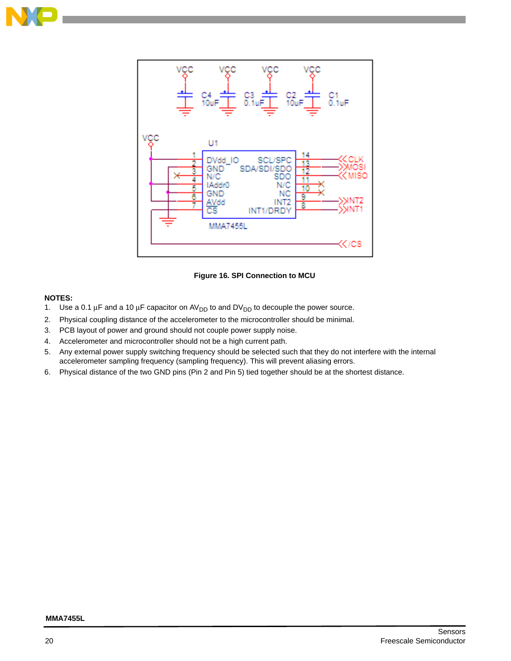



**Figure 16. SPI Connection to MCU**

## <span id="page-19-0"></span>**NOTES:**

- 1. Use a 0.1  $\mu$ F and a 10  $\mu$ F capacitor on AV<sub>DD</sub> to and DV<sub>DD</sub> to decouple the power source.
- 2. Physical coupling distance of the accelerometer to the microcontroller should be minimal.
- 3. PCB layout of power and ground should not couple power supply noise.
- 4. Accelerometer and microcontroller should not be a high current path.
- 5. Any external power supply switching frequency should be selected such that they do not interfere with the internal accelerometer sampling frequency (sampling frequency). This will prevent aliasing errors.
- 6. Physical distance of the two GND pins (Pin 2 and Pin 5) tied together should be at the shortest distance.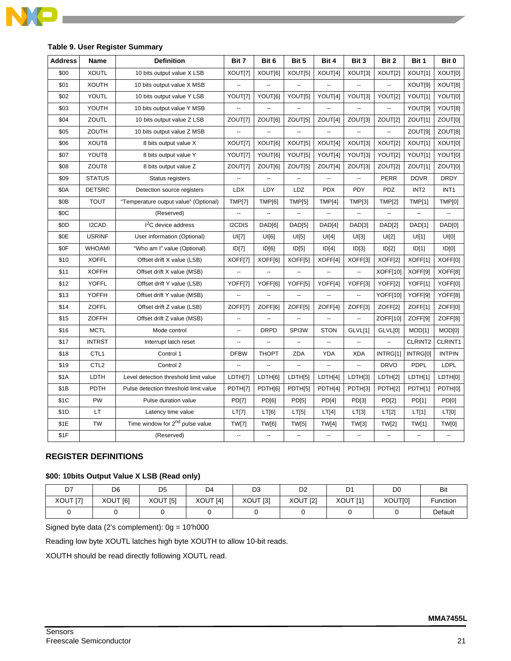

| <b>Address</b> | Name             | <b>Definition</b>                           | Bit 7                    | Bit 6                | Bit 5                        | Bit 4                    | Bit 3                    | Bit 2                    | Bit 1            | Bit 0            |
|----------------|------------------|---------------------------------------------|--------------------------|----------------------|------------------------------|--------------------------|--------------------------|--------------------------|------------------|------------------|
| \$00           | <b>XOUTL</b>     | 10 bits output value X LSB                  | XOUT[7]                  | XOUT[6]              | XOUT[5]                      | XOUT[4]                  | XOUT[3]                  | XOUT[2]                  | XOUT[1]          | XOUT[0]          |
| \$01           | <b>XOUTH</b>     | 10 bits output value X MSB                  | --                       |                      | $\overline{\phantom{a}}$     | ٠.                       |                          | $\overline{\phantom{a}}$ | XOUT[9]          | XOUT[8]          |
| \$02           | <b>YOUTL</b>     | 10 bits output value Y LSB                  | YOUT[7]                  | YOUT[6]              | YOUT[5]                      | YOUT[4]                  | YOUT[3]                  | YOUT[2]                  | YOUT[1]          | YOUT[0]          |
| \$03           | YOUTH            | 10 bits output value Y MSB                  | ÷.                       |                      |                              | ц.                       |                          | Ξ.                       | YOUT[9]          | YOUT[8]          |
| \$04           | ZOUTL            | 10 bits output value Z LSB                  | ZOUT[7]                  | ZOUT[6]              | ZOUT <sub>[5]</sub>          | ZOUT[4]                  | ZOUT[3]                  | ZOUT[2]                  | ZOUT[1]          | ZOUT[0]          |
| \$05           | ZOUTH            | 10 bits output value Z MSB                  | --                       | --                   |                              | $\overline{a}$           | $\ddotsc$                | $\overline{\phantom{a}}$ | ZOUT[9]          | ZOUT[8]          |
| \$06           | XOUT8            | 8 bits output value X                       | XOUT[7]                  | XOUT[6]              | XOUT[5]                      | XOUT[4]                  | XOUT[3]                  | XOUT[2]                  | XOUT[1]          | XOUT[0]          |
| \$07           | YOUT8            | 8 bits output value Y                       | YOUT[7]                  | YOUT[6]              | YOUT[5]                      | YOUT[4]                  | YOUT[3]                  | YOUT[2]                  | YOUT[1]          | YOUT[0]          |
| \$08           | ZOUT8            | 8 bits output value Z                       | ZOUT[7]                  | ZOUT[6]              | ZOUT[5]                      | ZOUT[4]                  | ZOUT[3]                  | ZOUT[2]                  | ZOUT[1]          | ZOUT[0]          |
| \$09           | <b>STATUS</b>    | Status registers                            | Ξ.                       | Ξ.                   | $\overline{\phantom{a}}$     | $\overline{\phantom{a}}$ | Ξ.                       | PERR                     | <b>DOVR</b>      | <b>DRDY</b>      |
| \$0A           | <b>DETSRC</b>    | Detection source registers                  | <b>LDX</b>               | LDY                  | LDZ                          | <b>PDX</b>               | PDY                      | PDZ                      | INT <sub>2</sub> | INT <sub>1</sub> |
| \$0B           | <b>TOUT</b>      | "Temperature output value" (Optional)       | <b>TMP[7]</b>            | TMP[6]               | <b>TMP[5]</b>                | TMP[4]                   | TMP[3]                   | TMPI2]                   | <b>TMP[1]</b>    | TMP[0]           |
| \$0C           |                  | (Reserved)                                  |                          |                      |                              |                          |                          |                          |                  |                  |
| \$0D           | I2CAD            | $I2C$ device address                        | I2CDIS                   | DAD[6]               | DAD[5]                       | DAD[4]                   | DAD[3]                   | DAD[2]                   | DAD[1]           | DAD[0]           |
| \$0E           | <b>USRINF</b>    | User information (Optional)                 | UI[7]                    | UI[6]                | UI[5]                        | UI[4]                    | UI[3]                    | UI[2]                    | UI[1]            | UI[0]            |
| \$0F           | <b>WHOAMI</b>    | "Who am I" value (Optional)                 | ID[7]                    | ID[6]                | ID[5]                        | ID[4]                    | ID[3]                    | ID[2]                    | ID[1]            | ID[0]            |
| \$10           | <b>XOFFL</b>     | Offset drift X value (LSB)                  | XOFF[7]                  | XOFF[6]              | XOFF[5]                      | XOFF[4]                  | XOFF[3]                  | XOFF[2]                  | XOFF[1]          | XOFF[0]          |
| \$11           | <b>XOFFH</b>     | Offset drift X value (MSB)                  | --                       | −                    | $\qquad \qquad \blacksquare$ | --                       | ۰.                       | XOFF[10]                 | XOFF[9]          | XOFF[8]          |
| \$12           | <b>YOFFL</b>     | Offset drift Y value (LSB)                  | YOFF[7]                  | YOFF[6]              | YOFF[5]                      | YOFF[4]                  | YOFF[3]                  | YOFF[2]                  | YOFF[1]          | YOFF[0]          |
| \$13           | <b>YOFFH</b>     | Offset drift Y value (MSB)                  | ă.                       | $\ddot{\phantom{a}}$ | ă.                           | u.                       | ц.                       | YOFF[10]                 | YOFF[9]          | YOFF[8]          |
| \$14           | <b>ZOFFL</b>     | Offset drift Z value (LSB)                  | ZOFF[7]                  | ZOFF[6]              | ZOFF[5]                      | ZOFF[4]                  | ZOFF[3]                  | ZOFF[2]                  | ZOFF[1]          | ZOFF[0]          |
| \$15           | <b>ZOFFH</b>     | Offset drift Z value (MSB)                  | --                       |                      |                              | --                       | --                       | ZOFF[10]                 | ZOFF[9]          | ZOFF[8]          |
| \$16           | <b>MCTL</b>      | Mode control                                | $\overline{\phantom{a}}$ | <b>DRPD</b>          | SPI3W                        | <b>STON</b>              | GLVL[1]                  | GLVL[0]                  | MOD[1]           | MOD[0]           |
| \$17           | <b>INTRST</b>    | Interrupt latch reset                       | --                       | Ξ.                   | Ξ.                           | Ξ.                       | μ.                       | u.                       | CLRINT2          | CLRINT1          |
| \$18           | CTL <sub>1</sub> | Control 1                                   | <b>DFBW</b>              | <b>THOPT</b>         | ZDA                          | YDA                      | XDA                      | INTRG[1]                 | INTRG[0]         | <b>INTPIN</b>    |
| \$19           | CTL <sub>2</sub> | Control 2                                   | $\overline{\phantom{a}}$ | --                   | --                           | ۰.                       | $\overline{\phantom{a}}$ | <b>DRVO</b>              | <b>PDPL</b>      | LDPL             |
| \$1A           | LDTH             | Level detection threshold limit value       | LDTH[7]                  | LDTH[6]              | LDTH <sub>[5]</sub>          | LDTH[4]                  | LDTH[3]                  | LDTH[2]                  | LDTH[1]          | LDTH[0]          |
| \$1B           | PDTH             | Pulse detection threshold limit value       | PDTH[7]                  | PDTH[6]              | PDTH <sub>[5]</sub>          | PDTH[4]                  | PDTH[3]                  | PDTH[2]                  | PDTH[1]          | PDTH[0]          |
| \$1C           | PW               | Pulse duration value                        | <b>PD[7]</b>             | PD[6]                | PD[5]                        | PD[4]                    | PD[3]                    | PD[2]                    | <b>PD[1]</b>     | PD[0]            |
| \$1D           | LT               | Latency time value                          | LT[7]                    | LT[6]                | LT[5]                        | LT[4]                    | LT[3]                    | LT[2]                    | LT[1]            | LT[0]            |
| \$1E           | <b>TW</b>        | Time window for 2 <sup>nd</sup> pulse value | <b>TW[7]</b>             | <b>TW[6]</b>         | <b>TW[5]</b>                 | TW[4]                    | TW[3]                    | TW[2]                    | TW[1]            | <b>TW[0]</b>     |
| \$1F           |                  | (Reserved)                                  | Ξ.                       | ш,                   | Ξ.                           | Ξ.                       | $\ddotsc$                | $\ddotsc$                | Ξ.               | Ξ.               |

## <span id="page-20-1"></span>**Table 9. User Register Summary**

## <span id="page-20-0"></span>**REGISTER DEFINITIONS**

## <span id="page-20-2"></span>**\$00: 10bits Output Value X LSB (Read only)**

| D7       | D6       | D <sub>5</sub> | D <sub>4</sub>      | D3       | D <sub>2</sub>      | D1                  | D0             | Bit      |
|----------|----------|----------------|---------------------|----------|---------------------|---------------------|----------------|----------|
| XOUT [7] | XOUT [6] | XOUT [5]       | XOUT <sub>[4]</sub> | XOUT [3] | XOUT <sub>[2]</sub> | XOUT <sub>[1]</sub> | <b>XOUTI01</b> | Function |
|          |          |                |                     |          |                     |                     |                | Default  |

Signed byte data (2's complement): 0g = 10'h000

Reading low byte XOUTL latches high byte XOUTH to allow 10-bit reads.

XOUTH should be read directly following XOUTL read.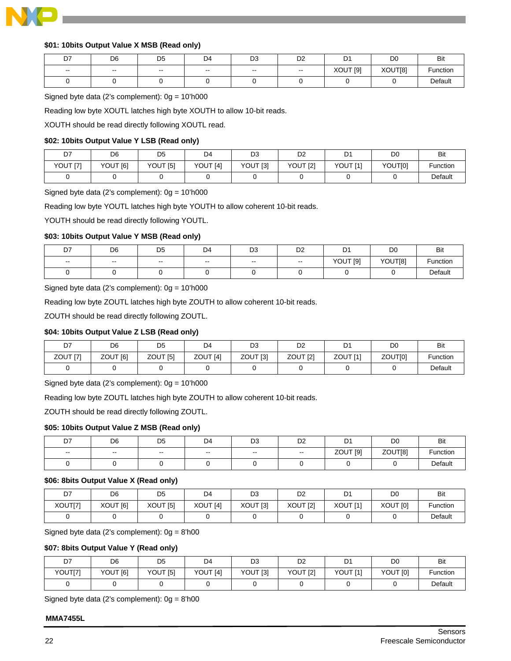

## <span id="page-21-0"></span>**\$01: 10bits Output Value X MSB (Read only)**

| D7                                             | D <sub>6</sub>           | D <sub>5</sub> | D <sub>4</sub> | D <sub>3</sub>           | D <sub>2</sub> | D <sub>1</sub>         | D <sub>0</sub> | Bit      |
|------------------------------------------------|--------------------------|----------------|----------------|--------------------------|----------------|------------------------|----------------|----------|
| $\hspace{0.1mm}-\hspace{0.1mm}-\hspace{0.1mm}$ | $\overline{\phantom{a}}$ | $\sim$         | $\sim$         | $\overline{\phantom{a}}$ | $\sim$         | <b>XOUT [9]</b><br>. . | XOUT[8]        | Function |
|                                                |                          |                |                |                          |                |                        |                | Default  |

Signed byte data (2's complement):  $0g = 10'h000$ 

Reading low byte XOUTL latches high byte XOUTH to allow 10-bit reads.

XOUTH should be read directly following XOUTL read.

## <span id="page-21-1"></span>**\$02: 10bits Output Value Y LSB (Read only)**

| D7       | D <sub>6</sub> | D <sub>5</sub> | D <sub>4</sub> | D3                  | D <sub>2</sub> | D <sub>1</sub><br>◡ | D <sub>0</sub> | Bit      |
|----------|----------------|----------------|----------------|---------------------|----------------|---------------------|----------------|----------|
| YOUT [7] | YOUT [6]       | YOUT [5]       | YOUT [4]       | YOUT <sub>[3]</sub> | YOUT [2]       | YOUT [1]            | YOUT[0]        | Function |
|          |                |                |                |                     |                |                     |                | Default  |

Signed byte data (2's complement):  $0g = 10'h000$ 

Reading low byte YOUTL latches high byte YOUTH to allow coherent 10-bit reads.

YOUTH should be read directly following YOUTL.

## <span id="page-21-2"></span>**\$03: 10bits Output Value Y MSB (Read only)**

| D7     | D <sub>6</sub>           | D <sub>5</sub> | D <sub>4</sub>           | D <sub>3</sub> | D <sub>2</sub> | D1       | D <sub>0</sub> | Bit      |
|--------|--------------------------|----------------|--------------------------|----------------|----------------|----------|----------------|----------|
| $\sim$ | $\overline{\phantom{a}}$ | $\sim$         | $\overline{\phantom{a}}$ | $\sim$         | $\sim$         | YOUT [9] | YOUT[8]        | Function |
|        |                          |                |                          |                |                |          |                | Default  |

Signed byte data (2's complement):  $0g = 10'h000$ 

Reading low byte ZOUTL latches high byte ZOUTH to allow coherent 10-bit reads.

ZOUTH should be read directly following ZOUTL.

## **\$04: 10bits Output Value Z LSB (Read only)**

| D7                  | D6       | D <sub>5</sub> | D4       | D3                  | D <sub>2</sub>      | D1                  | D0      | Bit      |
|---------------------|----------|----------------|----------|---------------------|---------------------|---------------------|---------|----------|
| ZOUT <sub>[7]</sub> | ZOUT [6] | ZOUT [5]       | ZOUT [4] | ZOUT <sub>[3]</sub> | ZOUT <sub>[2]</sub> | ZOUT <sub>[1]</sub> | ZOUTI01 | Function |
|                     |          |                |          |                     |                     |                     |         | Default  |

Signed byte data (2's complement): 0g = 10'h000

Reading low byte ZOUTL latches high byte ZOUTH to allow coherent 10-bit reads.

ZOUTH should be read directly following ZOUTL.

## <span id="page-21-3"></span>**\$05: 10bits Output Value Z MSB (Read only)**

| D7     | D <sub>6</sub> | D <sub>5</sub> | D4 | D <sub>3</sub> | D <sub>2</sub> | D1                  | D <sub>0</sub> | Bit      |
|--------|----------------|----------------|----|----------------|----------------|---------------------|----------------|----------|
| $\sim$ | $\sim$         | $- -$          | -- | $- -$          | $- -$          | ZOUT <sub>[9]</sub> | ZOUT[8]        | Function |
|        |                |                |    |                |                |                     |                | Default  |

## <span id="page-21-4"></span>**\$06: 8bits Output Value X (Read only)**

| D7      | D <sub>6</sub> | D <sub>5</sub> | D <sub>4</sub> | D <sub>3</sub>      | D <sub>2</sub>      | D <sub>1</sub> | D0       | Bit      |
|---------|----------------|----------------|----------------|---------------------|---------------------|----------------|----------|----------|
| XOUT[7] | XOUT [6]       | XOUT [5]       | XOUT [4]       | XOUT <sub>[3]</sub> | XOUT <sub>[2]</sub> | XOUT [1]       | XOUT [0] | Function |
|         |                |                |                |                     |                     |                |          | Default  |

Signed byte data (2's complement):  $0g = 8'h00$ 

## <span id="page-21-5"></span>**\$07: 8bits Output Value Y (Read only)**

| D7      | D <sub>6</sub> | D <sub>5</sub> | D <sub>4</sub>      | D3       | D <sub>2</sub> | D1              | D <sub>0</sub> | <b>Bit</b> |
|---------|----------------|----------------|---------------------|----------|----------------|-----------------|----------------|------------|
| YOUT[7] | YOUT [6]       | YOUT [5]       | YOUT <sup>[4]</sup> | YOUT [3] | YOUT [2]       | <b>YOUT [1]</b> | YOUT [0]       | Function   |
|         |                |                |                     |          |                |                 |                | Default    |

Signed byte data (2's complement):  $0g = 8'h00$ 

#### **MMA7455L**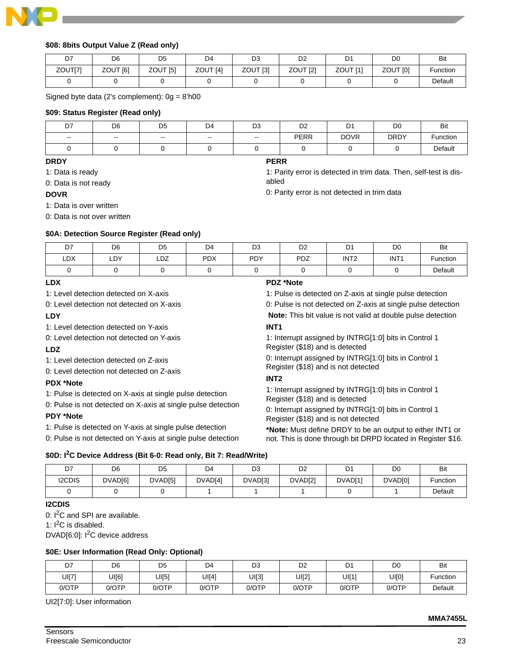

## <span id="page-22-0"></span>**\$08: 8bits Output Value Z (Read only)**

| D7      | D <sub>6</sub>      | D <sub>5</sub> | D4       | D3                  | D2                  | D1                  | D0       | <b>Bit</b>      |
|---------|---------------------|----------------|----------|---------------------|---------------------|---------------------|----------|-----------------|
| ZOUT[7] | ZOUT <sub>[6]</sub> | ZOUT [5]       | ZOUT [4] | ZOUT <sub>[3]</sub> | ZOUT <sub>[2]</sub> | ZOUT <sub>[1]</sub> | ZOUT [0] | <b>Function</b> |
|         |                     |                |          |                     |                     |                     |          | Default         |

Signed byte data (2's complement): 0g = 8'h00

#### <span id="page-22-1"></span>**\$09: Status Register (Read only)**

| D7     | D <sub>6</sub> | D <sub>5</sub> | D <sub>4</sub> | D <sub>3</sub> | D <sub>2</sub> | D <sub>1</sub> | D <sub>0</sub> | Bit      |
|--------|----------------|----------------|----------------|----------------|----------------|----------------|----------------|----------|
| $\sim$ | $\sim$         | $\sim$         | $\sim$         | $\sim$         | <b>PERR</b>    | <b>DOVR</b>    | <b>DRDY</b>    | Function |
|        |                |                |                |                |                |                |                | Default  |

**PERR** 

abled

## **DRDY**

1: Data is ready

0: Data is not ready

#### **DOVR**

1: Data is over written

0: Data is not over written

## <span id="page-22-2"></span>**\$0A: Detection Source Register (Read only)**

| D7  | D <sub>6</sub> | D <sub>5</sub> | D <sub>4</sub> | D <sub>3</sub> | D <sub>2</sub> | D <sub>1</sub>   | D <sub>0</sub>   | <b>Bit</b>  |
|-----|----------------|----------------|----------------|----------------|----------------|------------------|------------------|-------------|
| LDX | LDY            | LDZ            | <b>PDX</b>     | PDY            | PDZ            | INT <sub>2</sub> | INT <sub>1</sub> | $F$ unction |
|     |                |                |                |                |                |                  |                  | Default     |

## **LDX**

1: Level detection detected on X-axis

0: Level detection not detected on X-axis

#### **LDY**

1: Level detection detected on Y-axis

0: Level detection not detected on Y-axis

## **LDZ**

1: Level detection detected on Z-axis

0: Level detection not detected on Z-axis

## **PDX \*Note**

1: Pulse is detected on X-axis at single pulse detection

0: Pulse is not detected on X-axis at single pulse detection

## **PDY \*Note**

1: Pulse is detected on Y-axis at single pulse detection

0: Pulse is not detected on Y-axis at single pulse detection

## **PDZ \*Note**

1: Pulse is detected on Z-axis at single pulse detection 0: Pulse is not detected on Z-axis at single pulse detection **Note:** This bit value is not valid at double pulse detection

1: Parity error is detected in trim data. Then, self-test is dis-

0: Parity error is not detected in trim data

## **INT1**

1: Interrupt assigned by INTRG[1:0] bits in Control 1 Register (\$18) and is detected

0: Interrupt assigned by INTRG[1:0] bits in Control 1 Register (\$18) and is not detected

# **INT2**

1: Interrupt assigned by INTRG[1:0] bits in Control 1 Register (\$18) and is detected

0: Interrupt assigned by INTRG[1:0] bits in Control 1 Register (\$18) and is not detected

**\*Note:** Must define DRDY to be an output to either INT1 or not. This is done through bit DRPD located in Register \$16.

## <span id="page-22-3"></span>**\$0D: I2C Device Address (Bit 6-0: Read only, Bit 7: Read/Write)**

| D7            | D <sub>6</sub> | D <sub>5</sub> | D4                  | D3      | D <sub>2</sub> | D <sub>1</sub> | D <sub>0</sub> | Bit      |
|---------------|----------------|----------------|---------------------|---------|----------------|----------------|----------------|----------|
| <b>I2CDIS</b> | DVAD[6]        | DVAD[5]        | DVAD <sub>[4]</sub> | DVAD[3] | DVAD[2]        | DVAD[1]        | DVAD[0]        | Function |
|               |                |                |                     |         |                |                |                | Default  |

#### **I2CDIS**

0: I<sup>2</sup>C and SPI are available.

1:  $I^2C$  is disabled.

DVAD $[6:0]$ :  $I^2C$  device address

#### <span id="page-22-4"></span>**\$0E: User Information (Read Only: Optional)**

| D7    | D <sub>6</sub> | D <sub>5</sub> | D4    | D3    | D <sub>2</sub> | D1    | D0    | <b>Bit</b> |
|-------|----------------|----------------|-------|-------|----------------|-------|-------|------------|
| UI[7] | UI[6]          | UI[5]          | UI[4] | UI[3] | UI[2]          | UI[1] | UI[0] | Function   |
| 0/OTP | 0/OTP          | 0/OTP          | 0/OTP | 0/OTP | 0/OTP          | 0/OTP | 0/OTP | Default    |

UI2[7:0]: User information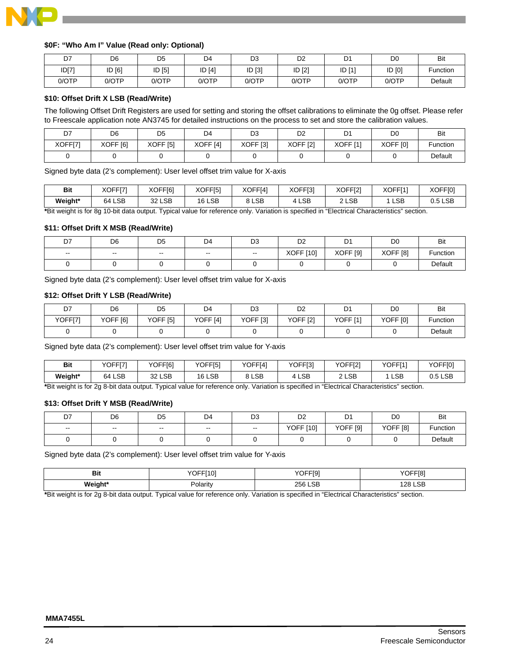

#### <span id="page-23-0"></span>**\$0F: "Who Am I" Value (Read only: Optional)**

| D7    | D <sub>6</sub> | D <sub>5</sub> | D <sub>4</sub> | D3          | D <sub>2</sub> | D1     | D0     | Bit      |
|-------|----------------|----------------|----------------|-------------|----------------|--------|--------|----------|
| ID[7] | ID [6]         | ID [5]         | ID [4]         | $[3]$<br>ID | ID [2]         | ID [1] | ID [0] | Function |
| 0/OTP | 0/OTP          | 0/OTP          | 0/OTP          | 0/OTP       | 0/OTP          | 0/OTP  | 0/OTP  | Default  |

## <span id="page-23-1"></span>**\$10: Offset Drift X LSB (Read/Write)**

The following Offset Drift Registers are used for setting and storing the offset calibrations to eliminate the 0g offset. Please refer to Freescale application note AN3745 for detailed instructions on the process to set and store the calibration values.

| D7      | D <sub>6</sub>      | D <sub>5</sub>      | D <sub>4</sub>      | D <sub>3</sub>      | D <sub>2</sub>      | D.<br>ו ש       | D <sub>0</sub>      | Bit      |
|---------|---------------------|---------------------|---------------------|---------------------|---------------------|-----------------|---------------------|----------|
| XOFF[7] | XOFF <sub>[6]</sub> | XOFF <sub>[5]</sub> | XOFF <sub>[4]</sub> | XOFF <sub>[3]</sub> | XOFF <sub>[2]</sub> | <b>XOFF [1]</b> | XOFF <sub>[0]</sub> | Function |
|         |                     |                     |                     |                     |                     |                 |                     | Default  |

Signed byte data (2's complement): User level offset trim value for X-axis

| <b>Bit</b> | XOFF[7]   | XOFF[6] | XOFF[5] | XOFF[4]    | XOFF[3] | XOFF[2] | XOFF[1] | XOFF[0] |
|------------|-----------|---------|---------|------------|---------|---------|---------|---------|
| Weight*    | LSB<br>64 | 32 LSB  | 16 LSB  | <b>LSB</b> | LSE     | 2 LSB   | LSB     | 0.5 LSB |

**\***Bit weight is for 8g 10-bit data output. Typical value for reference only. Variation is specified in "Electrical Characteristics" section.

#### <span id="page-23-2"></span>**\$11: Offset Drift X MSB (Read/Write)**

| D7     | D <sub>6</sub> | D <sub>5</sub> | D <sub>4</sub> | D <sub>3</sub>           | D <sub>2</sub>   | D1                  | D <sub>0</sub>      | Bit           |
|--------|----------------|----------------|----------------|--------------------------|------------------|---------------------|---------------------|---------------|
| $\sim$ | $\sim$         | $\sim$ $\sim$  | $- -$          | $\overline{\phantom{a}}$ | <b>XOFF [10]</b> | XOFF <sup>[9]</sup> | XOFF <sub>[8]</sub> | -<br>Function |
|        |                |                |                |                          |                  |                     |                     | Default       |

Signed byte data (2's complement): User level offset trim value for X-axis

#### <span id="page-23-3"></span>**\$12: Offset Drift Y LSB (Read/Write)**

| D7      | D <sub>6</sub>      | D <sub>5</sub>      | D <sub>4</sub>      | D3                  | D <sub>2</sub>      | D1                  | D0                  | <b>Bit</b> |
|---------|---------------------|---------------------|---------------------|---------------------|---------------------|---------------------|---------------------|------------|
| YOFF[7] | YOFF <sub>[6]</sub> | YOFF <sub>[5]</sub> | YOFF <sub>[4]</sub> | YOFF <sub>[3]</sub> | YOFF <sub>[2]</sub> | YOFF <sub>[1]</sub> | YOFF <sub>[0]</sub> | Function   |
|         |                     |                     |                     |                     |                     |                     |                     | Default    |

Signed byte data (2's complement): User level offset trim value for Y-axis

| <b>Bit</b>                                                                                                                               | YOFF[7] | YOFF[6]       | YOFF[5] | YOFF[4]             | YOFF[3] | YOFF[2] | YOFF[1]    | <b>YOFFI01</b> |
|------------------------------------------------------------------------------------------------------------------------------------------|---------|---------------|---------|---------------------|---------|---------|------------|----------------|
| Weight*                                                                                                                                  | 64 LSB  | <b>32 LSB</b> | 16 LSB  | 8 LSB<br>$^{\circ}$ | LSB     | 2 LSB   | <b>LSB</b> | 0.5 LSB        |
| *Dit contability for On Only John Contact Tomball color for advances with Marketine in accelled in SFIs strike Observationized as attack |         |               |         |                     |         |         |            |                |

**\***Bit weight is for 2g 8-bit data output. Typical value for reference only. Variation is specified in "Electrical Characteristics" section.

## **\$13: Offset Drift Y MSB (Read/Write)**

| D7     | D <sub>6</sub> | D <sub>5</sub> | D <sub>4</sub> | D <sub>3</sub> | no.<br>υz | D <sub>1</sub>      | D <sub>0</sub>      | <b>Bit</b> |
|--------|----------------|----------------|----------------|----------------|-----------|---------------------|---------------------|------------|
| $\sim$ | $\sim$         | $- -$          | $- -$          | $\sim$ $\sim$  | YOFF [10] | YOFF <sub>[9]</sub> | YOFF <sup>[8]</sup> | Function   |
|        |                |                |                |                |           |                     |                     | Default    |

Signed byte data (2's complement): User level offset trim value for Y-axis

| זום     | VOEEMOI<br>ιν.<br>ັັ | VOEEIO <sup>-</sup><br>ાઝ<br>ັ | YOFF[8] |
|---------|----------------------|--------------------------------|---------|
| Weight* | Polarity             | 256 LSB                        | 128 LSB |

**\***Bit weight is for 2g 8-bit data output. Typical value for reference only. Variation is specified in "Electrical Characteristics" section.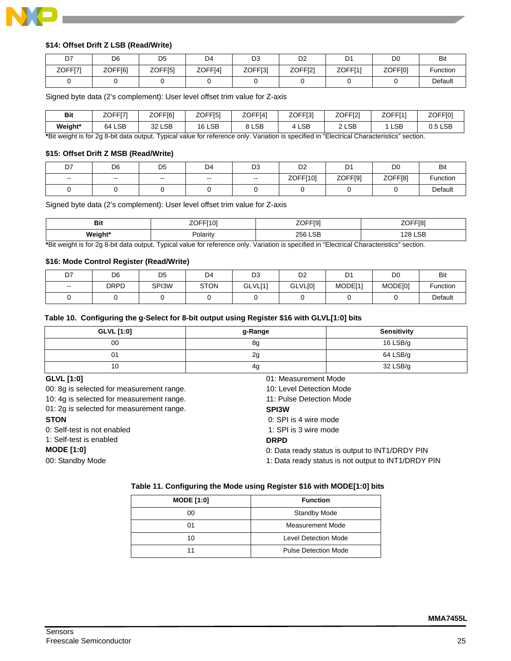

## <span id="page-24-0"></span>**\$14: Offset Drift Z LSB (Read/Write)**

| D7      | D <sub>6</sub> | D <sub>5</sub> | D4      | D <sub>3</sub> | D <sub>2</sub> | D1      | D0      | <b>Bit</b> |
|---------|----------------|----------------|---------|----------------|----------------|---------|---------|------------|
| ZOFF[7] | ZOFF[6]        | ZOFF[5]        | ZOFF[4] | ZOFF[3]        | ZOFF[2]        | ZOFF[1] | ZOFF[0] | Function   |
|         |                |                |         |                |                |         |         | Default    |

Signed byte data (2's complement): User level offset trim value for Z-axis

| Bit                                                                                                                                 | ZOFF[7] | ZOFF <sub>[6]</sub> | ZOFF <sub>[5]</sub> | ZOFFI41 | ZOFF[3]    | ZOFF <sub>[2]</sub> | ZOFFI11 | ZOFF <sub>[0]</sub> |
|-------------------------------------------------------------------------------------------------------------------------------------|---------|---------------------|---------------------|---------|------------|---------------------|---------|---------------------|
| Weight*                                                                                                                             | 64 LSB  | 32 LSB              | 16 LSB              | 8 LSB   | <b>LSB</b> | 2 LSB               | LSB     | $0.5$ LSB           |
| *Dhumalaki la fas Oa O kii daia amin'i Tuslaal mina fasaafaasaa aske Vaslailas la saadiiral la 6Flasislaal Okasanishasha haailaabaa |         |                     |                     |         |            |                     |         |                     |

**\***Bit weight is for 2g 8-bit data output. Typical value for reference only. Variation is specified in "Electrical Characteristics" section.

#### <span id="page-24-1"></span>**\$15: Offset Drift Z MSB (Read/Write)**

| D7     | D <sub>6</sub>           | D <sub>5</sub> | D <sub>4</sub> | D <sub>3</sub> | D <sub>0</sub><br>υz | D <sub>1</sub> | D <sub>0</sub> | <b>Bit</b> |
|--------|--------------------------|----------------|----------------|----------------|----------------------|----------------|----------------|------------|
| $\sim$ | $\overline{\phantom{a}}$ | $- -$          | $- -$          | $\sim$         | ZOFF[10]             | ZOFF[9]        | ZOFF[8]        | Function   |
|        |                          |                |                |                |                      |                |                | Default    |

Signed byte data (2's complement): User level offset trim value for Z-axis

| ъ.<br>יים | –~-<br>— <b>1</b> A'<br>℩⊢<br>ΊU.<br>-- | 705<br>.គេ'<br>- - - - - - | 705<br>اةا:<br>∠∪              |
|-----------|-----------------------------------------|----------------------------|--------------------------------|
| Weight*   | Polarity                                | 256 LSB                    | $\sim$<br>.28<br>LOD<br>$\sim$ |

**\***Bit weight is for 2g 8-bit data output. Typical value for reference only. Variation is specified in "Electrical Characteristics" section.

#### <span id="page-24-2"></span>**\$16: Mode Control Register (Read/Write)**

| D7     | D <sub>6</sub> | D <sub>5</sub> | D4          | D <sub>3</sub> | D <sub>2</sub> | D <sup>1</sup> | <b>DC</b> | Bit      |
|--------|----------------|----------------|-------------|----------------|----------------|----------------|-----------|----------|
| $\sim$ | <b>DRPD</b>    | SPI3W          | <b>STON</b> | GLVL[1]        | GLVL[0]        | MODE[1]        | MODE[0]   | Function |
|        |                |                |             |                |                |                |           | Default  |

## <span id="page-24-3"></span>**Table 10. Configuring the g-Select for 8-bit output using Register \$16 with GLVL[1:0] bits**

| GLVL [1:0] | g-Range | <b>Sensitivity</b> |
|------------|---------|--------------------|
| 00         | 8g      | 16 LSB/g           |
| 01         | 2g      | 64 LSB/g           |
| 10         | 4g      | 32 LSB/g           |

#### **GLVL [1:0]**

00: 8g is selected for measurement range.

10: 4g is selected for measurement range.

01: 2g is selected for measurement range.

#### **STON**

0: Self-test is not enabled

1: Self-test is enabled

## **MODE [1:0]**

00: Standby Mode

10: Level Detection Mode 11: Pulse Detection Mode **SPI3W**  0: SPI is 4 wire mode 1: SPI is 3 wire mode **DRPD** 0: Data ready status is output to INT1/DRDY PIN 1: Data ready status is not output to INT1/DRDY PIN

01: Measurement Mode

## <span id="page-24-4"></span>**Table 11. Configuring the Mode using Register \$16 with MODE[1:0] bits**

| <b>MODE [1:0]</b> | <b>Function</b>             |  |  |  |  |
|-------------------|-----------------------------|--|--|--|--|
| 00                | <b>Standby Mode</b>         |  |  |  |  |
| 01                | Measurement Mode            |  |  |  |  |
| 10                | <b>Level Detection Mode</b> |  |  |  |  |
| 11                | <b>Pulse Detection Mode</b> |  |  |  |  |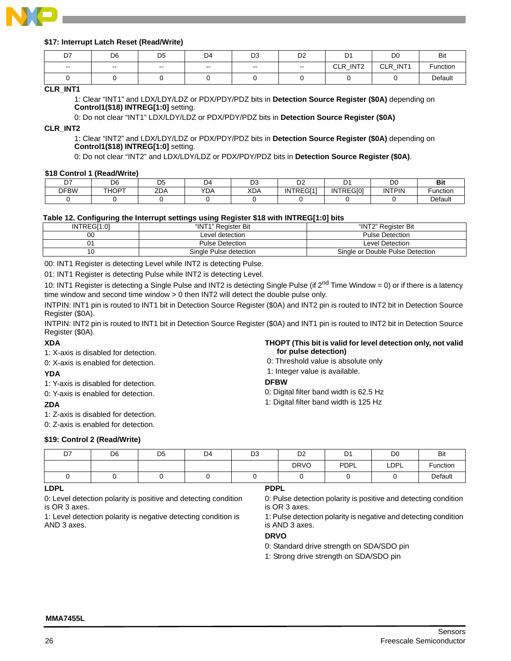

## <span id="page-25-0"></span>**\$17: Interrupt Latch Reset (Read/Write)**

| D7                       | D <sub>6</sub>           | D <sub>5</sub> | D4     | D3                       | D <sub>2</sub> | D <sub>1</sub> | D <sub>0</sub>         | Bit      |
|--------------------------|--------------------------|----------------|--------|--------------------------|----------------|----------------|------------------------|----------|
| $\overline{\phantom{a}}$ | $\overline{\phantom{a}}$ | $- -$          | $\sim$ | $\overline{\phantom{a}}$ | $- -$          | CLR_INT2       | <b>CLR</b><br>$\_INT1$ | Function |
|                          |                          |                |        |                          |                |                |                        | Default  |

#### **CLR\_INT1**

1: Clear "INT1" and LDX/LDY/LDZ or PDX/PDY/PDZ bits in **Detection Source Register (\$0A)** depending on **Control1(\$18) INTREG[1:0]** setting.

0: Do not clear "INT1" LDX/LDY/LDZ or PDX/PDY/PDZ bits in **Detection Source Register (\$0A)**

**CLR\_INT2** 

1: Clear "INT2" and LDX/LDY/LDZ or PDX/PDY/PDZ bits in **Detection Source Register (\$0A)** depending on **Control1(\$18) INTREG[1:0]** setting.

0: Do not clear "INT2" and LDX/LDY/LDZ or PDX/PDY/PDZ bits in **Detection Source Register (\$0A)**.

#### <span id="page-25-1"></span>**\$18 Control 1 (Read/Write)**

| --          | ne.<br>υo | ◡                                 | ٦Δ         | r.<br>◡    | ╮.<br>◡▵  |                  | חר<br>יש      | в.<br>ים |
|-------------|-----------|-----------------------------------|------------|------------|-----------|------------------|---------------|----------|
| <b>DFBW</b> | THOPT     | $\overline{\phantom{a}}$<br>–∪A – | <b>YDA</b> | <b>XDA</b> | INTREGI11 | <b>INTREGIOI</b> | <b>INTPIN</b> | unctior  |
|             |           |                                   |            |            |           |                  |               | Default  |

#### <span id="page-25-2"></span>**Table 12. Configuring the Interrupt settings using Register \$18 with INTREG[1:0] bits**

| INTREGI1:01 | "INT1" Register Bit    | "INT2" Reaister Bit              |
|-------------|------------------------|----------------------------------|
| 00          | Level detection        | <b>Pulse Detection</b>           |
|             | <b>Pulse Detection</b> | Level Detection                  |
| ט י         | Single Pulse detection | Single or Double Pulse Detection |

00: INT1 Register is detecting Level while INT2 is detecting Pulse.

01: INT1 Register is detecting Pulse while INT2 is detecting Level.

10: INT1 Register is detecting a Single Pulse and INT2 is detecting Single Pulse (if  $2^{nd}$  Time Window = 0) or if there is a latency time window and second time window > 0 then INT2 will detect the double pulse only.

INTPIN: INT1 pin is routed to INT1 bit in Detection Source Register (\$0A) and INT2 pin is routed to INT2 bit in Detection Source Register (\$0A).

INTPIN: INT2 pin is routed to INT1 bit in Detection Source Register (\$0A) and INT1 pin is routed to INT2 bit in Detection Source Register (\$0A).

#### **XDA**

1: X-axis is disabled for detection.

0: X-axis is enabled for detection.

#### **YDA**

1: Y-axis is disabled for detection.

0: Y-axis is enabled for detection.

## **ZDA**

1: Z-axis is disabled for detection.

0: Z-axis is enabled for detection.

#### **\$19: Control 2 (Read/Write)**

| THOPT (This bit is valid for level detection only, not valid<br>for pulse detection) |
|--------------------------------------------------------------------------------------|
| 0: Threshold value is absolute only                                                  |

- 
- 1: Integer value is available.
- **DFBW**
- 0: Digital filter band width is 62.5 Hz
- 1: Digital filter band width is 125 Hz

| D7 | D <sub>6</sub> | D <sub>5</sub> | D <sub>4</sub> | D3 | D <sub>2</sub> | D <sub>1</sub> | D <sub>0</sub> | <b>Bit</b> |
|----|----------------|----------------|----------------|----|----------------|----------------|----------------|------------|
|    |                |                |                |    | <b>DRVO</b>    | PDPL           | LDPL           | Function   |
|    |                |                |                |    |                |                |                | Default    |

#### **LDPL**

0: Level detection polarity is positive and detecting condition is OR 3 axes.

1: Level detection polarity is negative detecting condition is AND 3 axes.

## **PDPL**

0: Pulse detection polarity is positive and detecting condition is OR 3 axes.

1: Pulse detection polarity is negative and detecting condition is AND 3 axes.

## **DRVO**

0: Standard drive strength on SDA/SDO pin

1: Strong drive strength on SDA/SDO pin

#### **MMA7455L**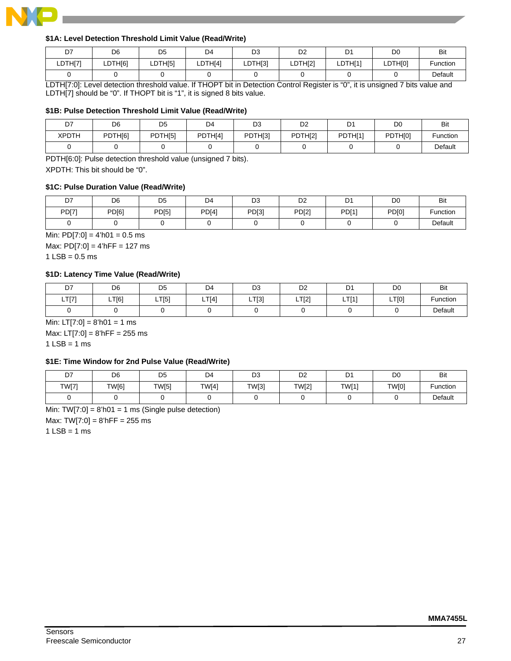

## <span id="page-26-4"></span>**\$1A: Level Detection Threshold Limit Value (Read/Write)**

| D7      | D6      | D <sub>5</sub> | D <sub>4</sub> | D3      | no.<br>◡∠ | D.<br>້ | D <sub>0</sub> | Bit      |
|---------|---------|----------------|----------------|---------|-----------|---------|----------------|----------|
| LDTH[7] | LDTH[6] | LDTH[5]        | LDTH[4]        | LDTH[3] | LDTH[2]   | LDTH[1] | LDTH[0]        | Function |
|         |         |                |                |         |           |         |                | Default  |

LDTH[7:0]: Level detection threshold value. If THOPT bit in Detection Control Register is "0", it is unsigned 7 bits value and LDTH[7] should be "0". If THOPT bit is "1", it is signed 8 bits value.

## <span id="page-26-0"></span>**\$1B: Pulse Detection Threshold Limit Value (Read/Write)**

| D7    | D <sub>6</sub> | D <sub>5</sub> | D4      | D3      | D2      | D <sub>1</sub> | DO      | Bit      |
|-------|----------------|----------------|---------|---------|---------|----------------|---------|----------|
| XPDTH | PDTH[6]        | PDTH[5]        | PDTHI41 | PDTH[3] | PDTH[2] | PDTH[1]        | PDTH[0] | Function |
|       |                |                |         |         |         |                |         | Default  |

PDTH[6:0]: Pulse detection threshold value (unsigned 7 bits). XPDTH: This bit should be "0".

#### <span id="page-26-1"></span>**\$1C: Pulse Duration Value (Read/Write)**

| D7    | D <sub>6</sub> | D <sub>5</sub> | D <sub>4</sub> | D <sub>3</sub> | D <sub>2</sub> | D <sub>1</sub> | D <sub>0</sub> | <b>Bit</b> |
|-------|----------------|----------------|----------------|----------------|----------------|----------------|----------------|------------|
| PD[7] | PD[6]          | PD[5]          | PD[4]          | PD[3]          | PD[2]          | <b>PD[1]</b>   | PD[0]          | Function   |
|       |                |                |                |                |                |                |                | Default    |

Min:  $PD[7:0] = 4<sup>'</sup>h01 = 0.5$  ms Max:  $PD[7:0] = 4'hFF = 127 ms$ 

 $1$  LSB = 0.5 ms

## <span id="page-26-2"></span>**\$1D: Latency Time Value (Read/Write)**

| D7    | D <sub>6</sub> | D <sub>5</sub> | D <sub>4</sub> | D <sub>3</sub> | D <sub>2</sub> | D     | D <sub>0</sub> | Bit      |
|-------|----------------|----------------|----------------|----------------|----------------|-------|----------------|----------|
| LT[7] | LT[6]          | LT[5]          | LT[4]          | [T[3]<br>-     | LT[2]          | TTI41 | LT[0]          | Function |
|       |                |                |                |                |                |       |                | Default  |

Min:  $LT[7:0] = 8'h01 = 1$  ms

Max: LT[7:0] = 8'hFF = 255 ms  $1$  LSB = 1 ms

#### <span id="page-26-3"></span>**\$1E: Time Window for 2nd Pulse Value (Read/Write)**

| D7           | D <sub>6</sub> | D <sub>5</sub> | D <sub>4</sub> | D <sub>3</sub> | D <sub>2</sub> | D <sub>1</sub> | D <sub>0</sub> | Bit      |
|--------------|----------------|----------------|----------------|----------------|----------------|----------------|----------------|----------|
| <b>TW[7]</b> | TW[6]          | <b>TW[5]</b>   | TW[4]          | TW[3]          | TW[2]          | TW[1]          | TW[0]          | Function |
|              |                |                |                |                |                |                |                | Default  |

Min:  $TW[7:0] = 8'h01 = 1$  ms (Single pulse detection) Max:  $TW[7:0] = 8'hFF = 255 ms$  $1$  LSB = 1 ms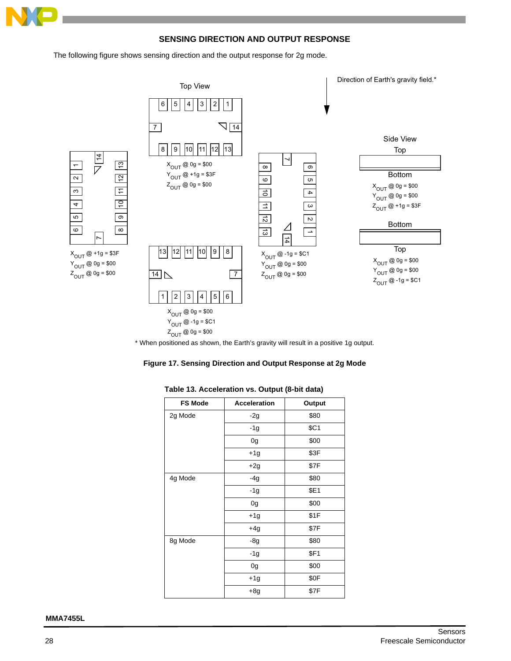

## **SENSING DIRECTION AND OUTPUT RESPONSE**

The following figure shows sensing direction and the output response for 2g mode.



\* When positioned as shown, the Earth's gravity will result in a positive 1g output.

<span id="page-27-0"></span>

| <b>FS Mode</b> | <b>Acceleration</b> | Output |
|----------------|---------------------|--------|
| 2g Mode        | $-2g$               | \$80   |
|                | $-1g$               | \$C1   |
|                | 0g                  | \$00   |
|                | $+1g$               | \$3F   |
|                | $+2g$               | \$7F   |
| 4g Mode        | -4g                 | \$80   |
|                | $-1g$               | \$E1   |
|                | 0g                  | \$00   |
|                | +1g                 | \$1F   |
|                | $+4g$               | \$7F   |
| 8g Mode        | $-8g$               | \$80   |
|                | $-1g$               | \$F1   |
|                | 0g                  | \$00   |
|                | $+1g$               | \$0F   |
|                | $+8g$               | \$7F   |

#### <span id="page-27-1"></span>**Table 13. Acceleration vs. Output (8-bit data)**

**MMA7455L**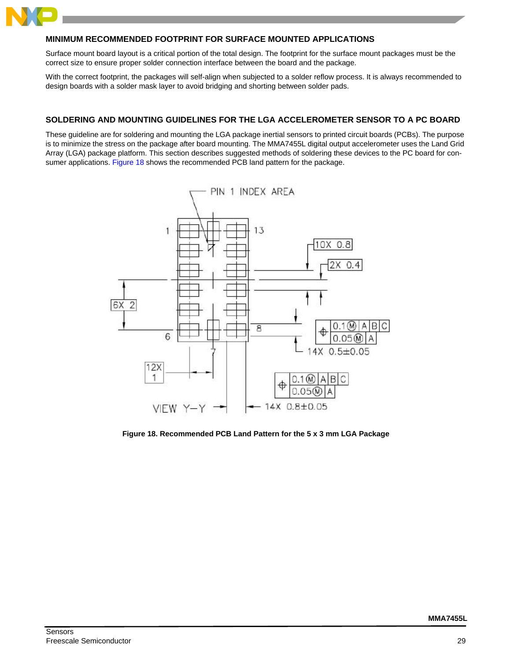

## **MINIMUM RECOMMENDED FOOTPRINT FOR SURFACE MOUNTED APPLICATIONS**

Surface mount board layout is a critical portion of the total design. The footprint for the surface mount packages must be the correct size to ensure proper solder connection interface between the board and the package.

With the correct footprint, the packages will self-align when subjected to a solder reflow process. It is always recommended to design boards with a solder mask layer to avoid bridging and shorting between solder pads.

## <span id="page-28-0"></span>**SOLDERING AND MOUNTING GUIDELINES FOR THE LGA ACCELEROMETER SENSOR TO A PC BOARD**

These guideline are for soldering and mounting the LGA package inertial sensors to printed circuit boards (PCBs). The purpose is to minimize the stress on the package after board mounting. The MMA7455L digital output accelerometer uses the Land Grid Array (LGA) package platform. This section describes suggested methods of soldering these devices to the PC board for consumer applications. [Figure 18](#page-28-1) shows the recommended PCB land pattern for the package.



<span id="page-28-1"></span>**Figure 18. Recommended PCB Land Pattern for the 5 x 3 mm LGA Package**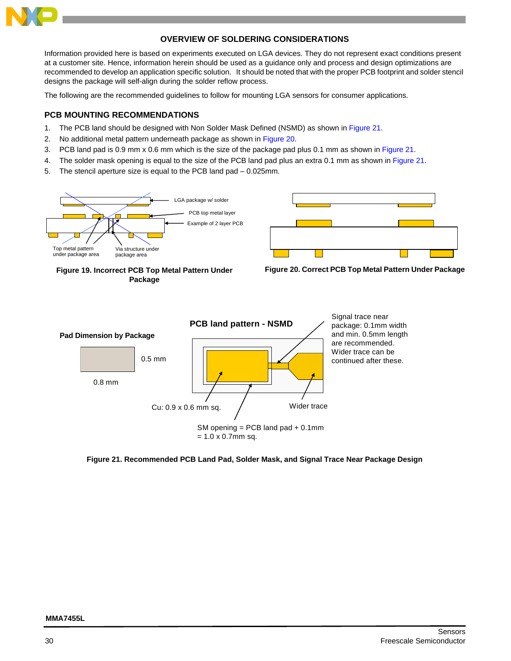

## **OVERVIEW OF SOLDERING CONSIDERATIONS**

Information provided here is based on experiments executed on LGA devices. They do not represent exact conditions present at a customer site. Hence, information herein should be used as a guidance only and process and design optimizations are recommended to develop an application specific solution. It should be noted that with the proper PCB footprint and solder stencil designs the package will self-align during the solder reflow process.

The following are the recommended guidelines to follow for mounting LGA sensors for consumer applications.

## **PCB MOUNTING RECOMMENDATIONS**

- 1. The PCB land should be designed with Non Solder Mask Defined (NSMD) as shown in [Figure 21](#page-29-2).
- 2. No additional metal pattern underneath package as shown in [Figure 20](#page-29-1).
- 3. PCB land pad is 0.9 mm x 0.6 mm which is the size of the package pad plus 0.1 mm as shown in [Figure 21.](#page-29-2)
- 4. The solder mask opening is equal to the size of the PCB land pad plus an extra 0.1 mm as shown in [Figure 21.](#page-29-2)
- <span id="page-29-1"></span>5. The stencil aperture size is equal to the PCB land pad – 0.025mm.

<span id="page-29-0"></span>

<span id="page-29-2"></span>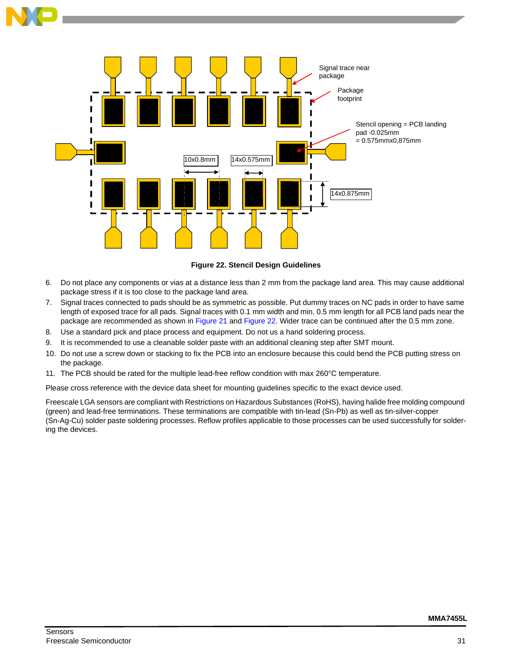

**Figure 22. Stencil Design Guidelines**

- <span id="page-30-0"></span>6. Do not place any components or vias at a distance less than 2 mm from the package land area. This may cause additional package stress if it is too close to the package land area.
- 7. Signal traces connected to pads should be as symmetric as possible. Put dummy traces on NC pads in order to have same length of exposed trace for all pads. Signal traces with 0.1 mm width and min. 0.5 mm length for all PCB land pads near the package are recommended as shown in [Figure 21](#page-29-2) and [Figure 22](#page-30-0). Wider trace can be continued after the 0.5 mm zone.
- 8. Use a standard pick and place process and equipment. Do not us a hand soldering process.
- 9. It is recommended to use a cleanable solder paste with an additional cleaning step after SMT mount.
- 10. Do not use a screw down or stacking to fix the PCB into an enclosure because this could bend the PCB putting stress on the package.
- 11. The PCB should be rated for the multiple lead-free reflow condition with max 260°C temperature.

Please cross reference with the device data sheet for mounting guidelines specific to the exact device used.

Freescale LGA sensors are compliant with Restrictions on Hazardous Substances (RoHS), having halide free molding compound (green) and lead-free terminations. These terminations are compatible with tin-lead (Sn-Pb) as well as tin-silver-copper (Sn-Ag-Cu) solder paste soldering processes. Reflow profiles applicable to those processes can be used successfully for soldering the devices.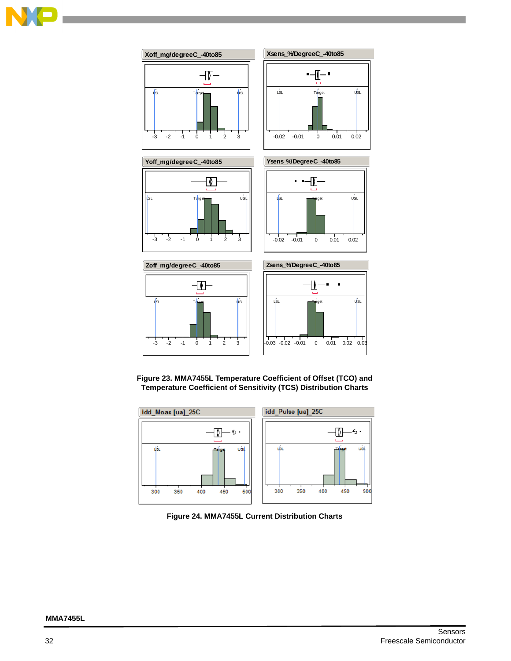



**Figure 23. MMA7455L Temperature Coefficient of Offset (TCO) and Temperature Coefficient of Sensitivity (TCS) Distribution Charts**

<span id="page-31-0"></span>

<span id="page-31-1"></span>**Figure 24. MMA7455L Current Distribution Charts**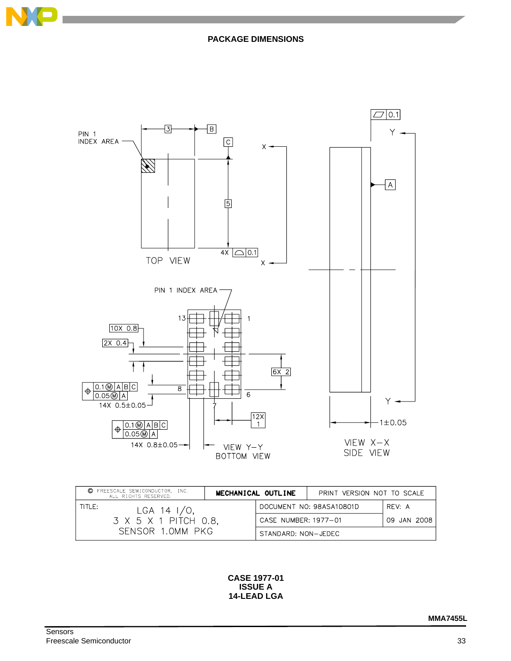



| © FREESCALE SEMICONDUCTOR, INC.<br>ALL RIGHTS RESERVED.              | MECHANICAL OUTLINE |                                     | PRINT VERSION NOT TO SCALE |        |  |
|----------------------------------------------------------------------|--------------------|-------------------------------------|----------------------------|--------|--|
| TITLE:<br>LGA 14 $1/0$ ,<br>3 X 5 X 1 PITCH 0.8,<br>SENSOR 1.0MM PKG |                    |                                     | DOCUMENT NO: 98ASA10801D   | RFV: A |  |
|                                                                      |                    | CASE NUMBER: 1977-01<br>09 JAN 2008 |                            |        |  |
|                                                                      |                    | STANDARD: NON-JEDEC                 |                            |        |  |

**CASE 1977-01 ISSUE A 14-LEAD LGA**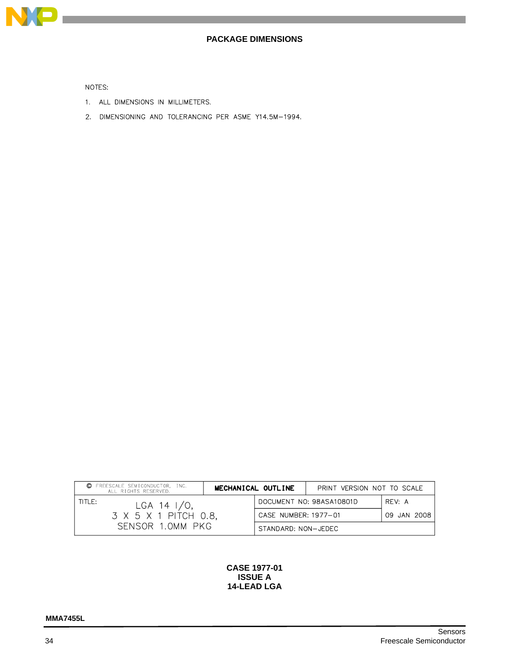

## **PACKAGE DIMENSIONS**

NOTES:

- 1. ALL DIMENSIONS IN MILLIMETERS.
- 2. DIMENSIONING AND TOLERANCING PER ASME Y14.5M-1994.

| C FREESCALE SEMICONDUCTOR, INC.<br>ALL RIGHTS RESERVED. | MECHANICAL OUTLINE   | PRINT VERSION NOT TO SCALE |             |
|---------------------------------------------------------|----------------------|----------------------------|-------------|
| TITLE:<br>LGA 14 $1/0$ ,                                |                      | DOCUMENT NO: 98ASA10801D   | RFV: A      |
| 3 X 5 X 1 PITCH 0.8.                                    | CASE NUMBER: 1977-01 |                            | 09 JAN 2008 |
| SENSOR 1.0MM PKG                                        | STANDARD: NON-JEDEC  |                            |             |

#### **CASE 1977-01 ISSUE A 14-LEAD LGA**